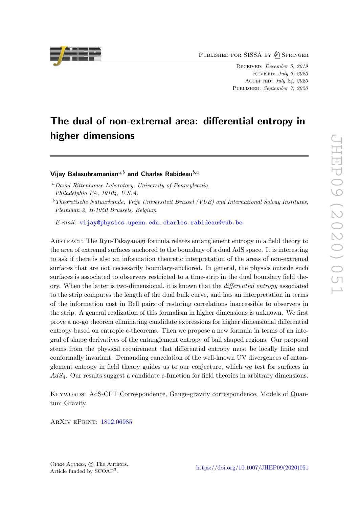PUBLISHED FOR SISSA BY 2 SPRINGER

Received: December 5, 2019 Revised: July 9, 2020 Accepted: July 24, 2020 Published: September 7, 2020

# The dual of non-extremal area: differential entropy in higher dimensions

# Vijay Balasubramanian $a,b$  and Charles Rabideau $b,a$

E-mail: [vijay@physics.upenn.edu](mailto:vijay@physics.upenn.edu), [charles.rabideau@vub.be](mailto:charles.rabideau@vub.be)

Abstract: The Ryu-Takayanagi formula relates entanglement entropy in a field theory to the area of extremal surfaces anchored to the boundary of a dual AdS space. It is interesting to ask if there is also an information theoretic interpretation of the areas of non-extremal surfaces that are not necessarily boundary-anchored. In general, the physics outside such surfaces is associated to observers restricted to a time-strip in the dual boundary field theory. When the latter is two-dimensional, it is known that the differential entropy associated to the strip computes the length of the dual bulk curve, and has an interpretation in terms of the information cost in Bell pairs of restoring correlations inaccessible to observers in the strip. A general realization of this formalism in higher dimensions is unknown. We first prove a no-go theorem eliminating candidate expressions for higher dimensional differential entropy based on entropic c-theorems. Then we propose a new formula in terms of an integral of shape derivatives of the entanglement entropy of ball shaped regions. Our proposal stems from the physical requirement that differential entropy must be locally finite and conformally invariant. Demanding cancelation of the well-known UV divergences of entanglement entropy in field theory guides us to our conjecture, which we test for surfaces in AdS4. Our results suggest a candidate c-function for field theories in arbitrary dimensions.

KEYWORDS: AdS-CFT Correspondence, Gauge-gravity correspondence, Models of Quantum Gravity

ArXiv ePrint: [1812.06985](https://arxiv.org/abs/1812.06985)



<sup>a</sup>David Rittenhouse Laboratory, University of Pennsylvania, Philadelphia PA, 19104, U.S.A.

 $b$ <sup>b</sup>Theoretische Natuurkunde, Vrije Universiteit Brussel (VUB) and International Solvay Institutes, Pleinlaan 2, B-1050 Brussels, Belgium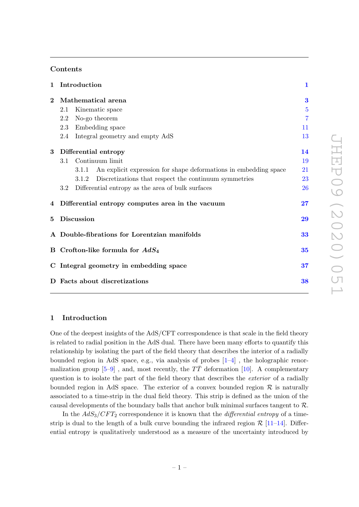## Contents

| $\mathbf{1}$ |                                              | Introduction                                                              | $\mathbf{1}$ |
|--------------|----------------------------------------------|---------------------------------------------------------------------------|--------------|
| $\bf{2}$     | Mathematical arena                           |                                                                           | 3            |
|              | 2.1                                          | Kinematic space                                                           | 5            |
|              | 2.2                                          | No-go theorem                                                             | 7            |
|              | 2.3                                          | Embedding space                                                           | 11           |
|              | 2.4                                          | Integral geometry and empty AdS                                           | 13           |
| $\bf{3}$     | Differential entropy                         |                                                                           | 14           |
|              | 3.1                                          | Continuum limit                                                           | 19           |
|              |                                              | An explicit expression for shape deformations in embedding space<br>3.1.1 | 21           |
|              |                                              | Discretizations that respect the continuum symmetries<br>3.1.2            | 23           |
|              | $3.2\,$                                      | Differential entropy as the area of bulk surfaces                         | $26\,$       |
|              |                                              | 4 Differential entropy computes area in the vacuum                        | 27           |
| 5            |                                              | <b>Discussion</b>                                                         | 29           |
|              | A Double-fibrations for Lorentzian manifolds |                                                                           | 33           |
|              | B Crofton-like formula for $AdS_4$           |                                                                           | 35           |
|              | C Integral geometry in embedding space       |                                                                           |              |
|              | D Facts about discretizations                |                                                                           |              |

# <span id="page-1-0"></span>1 Introduction

One of the deepest insights of the AdS/CFT correspondence is that scale in the field theory is related to radial position in the AdS dual. There have been many efforts to quantify this relationship by isolating the part of the field theory that describes the interior of a radially bounded region in AdS space, e.g., via analysis of probes [\[1](#page-39-0)[–4\]](#page-39-1) , the holographic renormalization group  $[5-9]$ , and, most recently, the  $T\overline{T}$  deformation [\[10\]](#page-40-1). A complementary question is to isolate the part of the field theory that describes the *exterior* of a radially bounded region in AdS space. The exterior of a convex bounded region  $\mathcal R$  is naturally associated to a time-strip in the dual field theory. This strip is defined as the union of the causal developments of the boundary balls that anchor bulk minimal surfaces tangent to  $\mathcal{R}$ .

In the  $AdS_3/CFT_2$  correspondence it is known that the *differential entropy* of a timestrip is dual to the length of a bulk curve bounding the infrared region  $\mathcal{R}$  [\[11](#page-40-2)[–14\]](#page-40-3). Differential entropy is qualitatively understood as a measure of the uncertainty introduced by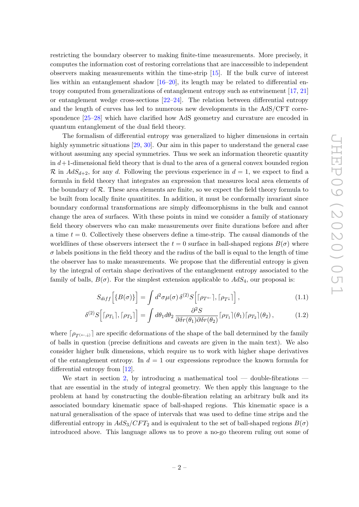restricting the boundary observer to making finite-time measurements. More precisely, it computes the information cost of restoring correlations that are inaccessible to independent observers making measurements within the time-strip [\[15\]](#page-40-4). If the bulk curve of interest lies within an entanglement shadow [\[16](#page-40-5)[–20\]](#page-40-6), its length may be related to differential entropy computed from generalizations of entanglement entropy such as entwinement [\[17,](#page-40-7) [21\]](#page-40-8) or entanglement wedge cross-sections  $[22-24]$  $[22-24]$ . The relation between differential entropy and the length of curves has led to numerous new developments in the AdS/CFT correspondence [\[25](#page-40-11)[–28\]](#page-41-0) which have clarified how AdS geometry and curvature are encoded in quantum entanglement of the dual field theory.

The formalism of differential entropy was generalized to higher dimensions in certain highly symmetric situations [\[29,](#page-41-1) [30\]](#page-41-2). Our aim in this paper to understand the general case without assuming any special symmetries. Thus we seek an information theoretic quantity in  $d+1$ -dimensional field theory that is dual to the area of a general convex bounded region R in  $AdS_{d+2}$ , for any d. Following the previous experience in  $d = 1$ , we expect to find a formula in field theory that integrates an expression that measures local area elements of the boundary of  $R$ . These area elements are finite, so we expect the field theory formula to be built from locally finite quantitites. In addition, it must be conformally invariant since boundary conformal transformations are simply diffeomorphisms in the bulk and cannot change the area of surfaces. With these points in mind we consider a family of stationary field theory observers who can make measurements over finite durations before and after a time  $t = 0$ . Collectively these observers define a time-strip. The causal diamonds of the worldlines of these observers intersect the  $t = 0$  surface in ball-shaped regions  $B(\sigma)$  where  $\sigma$  labels positions in the field theory and the radius of the ball is equal to the length of time the observer has to make measurements. We propose that the differential entropy is given by the integral of certain shape derivatives of the entanglement entropy associated to the family of balls,  $B(\sigma)$ . For the simplest extension applicable to  $AdS_4$ , our proposal is:

$$
S_{diff} \left[ \{ B(\sigma) \} \right] = \int d^2 \sigma \mu(\sigma) \, \delta^{(2)} S \left[ \lceil \rho_{T^{\leftarrow}} \rceil, \lceil \rho_{T^{\downarrow}} \rceil \right], \tag{1.1}
$$

$$
\delta^{(2)}S\Big[ \lceil \rho_{T_1} \rceil, \lceil \rho_{T_2} \rceil \Big] = \int d\theta_1 d\theta_2 \, \frac{\partial^2 S}{\partial \delta r(\theta_1) \partial \delta r(\theta_2)} \lceil \rho_{T_1} \rceil(\theta_1) \lceil \rho_{T_2} \rceil(\theta_2) \,, \tag{1.2}
$$

where  $[\rho_{T(\leftarrow,\downarrow)}]$  are specific deformations of the shape of the ball determined by the family of balls in question (precise definitions and caveats are given in the main text). We also consider higher bulk dimensions, which require us to work with higher shape derivatives of the entanglement entropy. In  $d = 1$  our expressions reproduce the known formula for differential entropy from [\[12\]](#page-40-12).

We start in section [2,](#page-3-0) by introducing a mathematical tool — double-fibrations that are essential in the study of integral geometry. We then apply this language to the problem at hand by constructing the double-fibration relating an arbitrary bulk and its associated boundary kinematic space of ball-shaped regions. This kinematic space is a natural generalisation of the space of intervals that was used to define time strips and the differential entropy in  $AdS_3/CFT_2$  and is equivalent to the set of ball-shaped regions  $B(\sigma)$ introduced above. This language allows us to prove a no-go theorem ruling out some of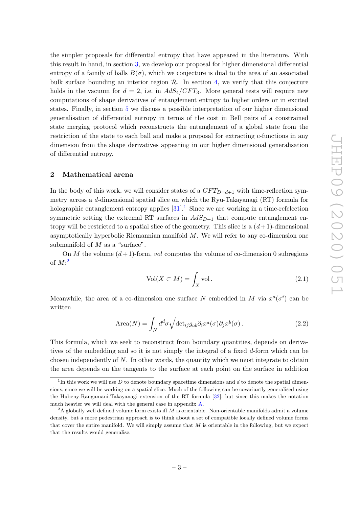the simpler proposals for differential entropy that have appeared in the literature. With this result in hand, in section [3,](#page-14-0) we develop our proposal for higher dimensional differential entropy of a family of balls  $B(\sigma)$ , which we conjecture is dual to the area of an associated bulk surface bounding an interior region  $R$ . In section [4,](#page-27-0) we verify that this conjecture holds in the vacuum for  $d = 2$ , i.e. in  $AdS_4/CFT_3$ . More general tests will require new computations of shape derivatives of entanglement entropy to higher orders or in excited states. Finally, in section [5](#page-29-0) we discuss a possible interpretation of our higher dimensional generalisation of differential entropy in terms of the cost in Bell pairs of a constrained state merging protocol which reconstructs the entanglement of a global state from the restriction of the state to each ball and make a proposal for extracting c-functions in any dimension from the shape derivatives appearing in our higher dimensional generalisation of differential entropy.

## <span id="page-3-0"></span>2 Mathematical arena

In the body of this work, we will consider states of a  $CFT_{D=d+1}$  with time-reflection symmetry across a d-dimensional spatial slice on which the Ryu-Takayanagi (RT) formula for holographic entanglement entropy applies  $[31]$  $[31]$  $[31]$ <sup>1</sup>. Since we are working in a time-refelection symmetric setting the extremal RT surfaces in  $AdS_{D+1}$  that compute entanglement entropy will be restricted to a spatial slice of the geometry. This slice is a  $(d+1)$ -dimensional asymptotically hyperbolic Riemannian manifold  $M$ . We will refer to any co-dimension one submanifold of  $M$  as a "surface".

On M the volume  $(d+1)$ -form, vol computes the volume of co-dimension 0 subregions of  $M:^2$  $M:^2$ 

$$
Vol(X \subset M) = \int_X \text{vol}.\tag{2.1}
$$

Meanwhile, the area of a co-dimension one surface N embedded in M via  $x^a(\sigma^i)$  can be written

$$
\text{Area}(N) = \int_N d^d \sigma \sqrt{\det_{ij} g_{ab} \partial_i x^a(\sigma) \partial_j x^b(\sigma)}.
$$
 (2.2)

This formula, which we seek to reconstruct from boundary quantities, depends on derivatives of the embedding and so it is not simply the integral of a fixed d-form which can be chosen independently of  $N$ . In other words, the quantity which we must integrate to obtain the area depends on the tangents to the surface at each point on the surface in addition

<span id="page-3-1"></span><sup>&</sup>lt;sup>1</sup>In this work we will use D to denote boundary spacetime dimensions and d to denote the spatial dimensions, since we will be working on a spatial slice. Much of the following can be covariantly generalised using the Hubeny-Rangamani-Takayanagi extension of the RT formula [\[32\]](#page-41-4), but since this makes the notation much heavier we will deal with the general case in appendix [A.](#page-33-0)

<span id="page-3-2"></span> $2A$  globally well defined volume form exists iff M is orientable. Non-orientable manifolds admit a volume density, but a more pedestrian approach is to think about a set of compatible locally defined volume forms that cover the entire manifold. We will simply assume that  $M$  is orientable in the following, but we expect that the results would generalise.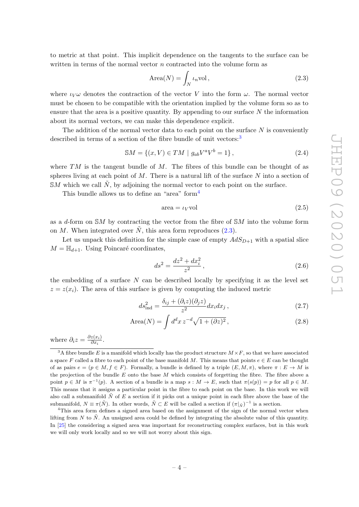to metric at that point. This implicit dependence on the tangents to the surface can be written in terms of the normal vector  $n$  contracted into the volume form as

<span id="page-4-2"></span>
$$
\text{Area}(N) = \int_N \iota_n \text{vol},\tag{2.3}
$$

where  $\iota_V \omega$  denotes the contraction of the vector V into the form  $\omega$ . The normal vector must be chosen to be compatible with the orientation implied by the volume form so as to ensure that the area is a positive quantity. By appending to our surface  $N$  the information about its normal vectors, we can make this dependence explicit.

The addition of the normal vector data to each point on the surface  $N$  is conveniently described in terms of a section of the fibre bundle of unit vectors:<sup>[3](#page-4-0)</sup>

$$
\mathbb{S}M = \{(x, V) \in TM \mid g_{ab}V^a V^b = 1\},\tag{2.4}
$$

where  $TM$  is the tangent bundle of M. The fibres of this bundle can be thought of as spheres living at each point of  $M$ . There is a natural lift of the surface  $N$  into a section of  $\mathbb{S}M$  which we call  $\tilde{N}$ , by adjoining the normal vector to each point on the surface.

This bundle allows us to define an "area" form<sup>[4](#page-4-1)</sup>

$$
area = \iota_V vol \tag{2.5}
$$

as a d-form on  $\mathbb{S}M$  by contracting the vector from the fibre of  $\mathbb{S}M$  into the volume form on M. When integrated over  $\tilde{N}$ , this area form reproduces [\(2.3\)](#page-4-2).

Let us unpack this definition for the simple case of empty  $AdS_{D+1}$  with a spatial slice  $M = \mathbb{H}_{d+1}$ . Using Poincaré coordinates,

<span id="page-4-4"></span><span id="page-4-3"></span>
$$
ds^2 = \frac{dz^2 + dx_i^2}{z^2},\tag{2.6}
$$

the embedding of a surface  $N$  can be described locally by specifying it as the level set  $z = z(x_i)$ . The area of this surface is given by computing the induced metric

$$
ds_{\text{ind}}^2 = \frac{\delta_{ij} + (\partial_i z)(\partial_j z)}{z^2} dx_i dx_j , \qquad (2.7)
$$

$$
\text{Area}(N) = \int d^d x \, z^{-d} \sqrt{1 + (\partial z)^2} \,,\tag{2.8}
$$

where  $\partial_i z = \frac{\partial z(x_i)}{\partial x_i}$  $\frac{z(x_i)}{\partial x_i}$ .

<span id="page-4-0"></span><sup>&</sup>lt;sup>3</sup>A fibre bundle E is a manifold which locally has the product structure  $M \times F$ , so that we have associated a space F called a fibre to each point of the base manifold M. This means that points  $e \in E$  can be thought of as pairs  $e = (p \in M, f \in F)$ . Formally, a bundle is defined by a triple  $(E, M, \pi)$ , where  $\pi : E \to M$  is the projection of the bundle  $E$  onto the base  $M$  which consists of forgetting the fibre. The fibre above a point  $p \in M$  is  $\pi^{-1}(p)$ . A section of a bundle is a map  $s : M \to E$ , such that  $\pi(s(p)) = p$  for all  $p \in M$ . This means that it assigns a particular point in the fibre to each point on the base. In this work we will also call a submanifold  $N$  of  $E$  a section if it picks out a unique point in each fibre above the base of the submanifold,  $N \equiv \pi(\tilde{N})$ . In other words,  $\tilde{N} \subset E$  will be called a section if  $(\pi|_{\tilde{N}})^{-1}$  is a section.

<span id="page-4-1"></span><sup>&</sup>lt;sup>4</sup>This area form defines a signed area based on the assignment of the sign of the normal vector when lifting from N to  $\tilde{N}$ . An unsigned area could be defined by integrating the absolute value of this quantity. In [\[25\]](#page-40-11) the considering a signed area was important for reconstructing complex surfaces, but in this work we will only work locally and so we will not worry about this sign.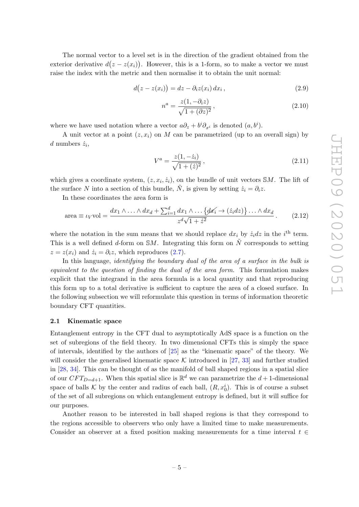The normal vector to a level set is in the direction of the gradient obtained from the exterior derivative  $d(z - z(x_i))$ . However, this is a 1-form, so to make a vector we must raise the index with the metric and then normalise it to obtain the unit normal:

$$
d(z - z(x_i)) = dz - \partial_i z(x_i) dx_i, \qquad (2.9)
$$

$$
n^a = \frac{z(1, -\partial_i z)}{\sqrt{1 + (\partial z)^2}},\tag{2.10}
$$

where we have used notation where a vector  $a\partial_z + b^i \partial_{x^i}$  is denoted  $(a, b^i)$ .

A unit vector at a point  $(z, x_i)$  on M can be parametrized (up to an overall sign) by d numbers  $\dot{z}_i$ ,

<span id="page-5-2"></span><span id="page-5-1"></span>
$$
V^{a} = \frac{z(1, -\dot{z}_i)}{\sqrt{1 + (\dot{z})^2}},
$$
\n(2.11)

which gives a coordinate system,  $(z, x_i, \dot{z}_i)$ , on the bundle of unit vectors SM. The lift of the surface N into a section of this bundle,  $\tilde{N}$ , is given by setting  $\dot{z}_i = \partial_i z$ .

In these coordinates the area form is

area 
$$
\equiv \iota_V \text{vol} = \frac{dx_1 \wedge \ldots \wedge dx_d + \sum_{i=1}^d dx_1 \wedge \ldots \{dx_i \rightarrow (\dot{z}_i dz)\} \ldots \wedge dx_d}{z^d \sqrt{1 + \dot{z}^2}}.
$$
 (2.12)

where the notation in the sum means that we should replace  $dx_i$  by  $\dot{z}_i dz$  in the i<sup>th</sup> term. This is a well defined d-form on  $\mathbb{S}M$ . Integrating this form on  $\tilde{N}$  corresponds to setting  $z = z(x_i)$  and  $\dot{z}_i = \partial_i z$ , which reproduces [\(2.7\)](#page-4-3).

In this language, *identifying the boundary dual of the area of a surface in the bulk is* equivalent to the question of finding the dual of the area form. This formulation makes explicit that the integrand in the area formula is a local quantity and that reproducing this form up to a total derivative is sufficient to capture the area of a closed surface. In the following subsection we will reformulate this question in terms of information theoretic boundary CFT quantities.

## <span id="page-5-0"></span>2.1 Kinematic space

Entanglement entropy in the CFT dual to asymptotically AdS space is a function on the set of subregions of the field theory. In two dimensional CFTs this is simply the space of intervals, identified by the authors of [\[25\]](#page-40-11) as the "kinematic space" of the theory. We will consider the generalised kinematic space  $\mathcal K$  introduced in [\[27,](#page-40-13) [33\]](#page-41-5) and further studied in [\[28,](#page-41-0) [34\]](#page-41-6). This can be thought of as the manifold of ball shaped regions in a spatial slice of our  $CFT_{D=d+1}$ . When this spatial slice is  $\mathbb{R}^d$  we can parametrize the  $d+1$ -dimensional space of balls K by the center and radius of each ball,  $(R, x_0^i)$ . This is of course a subset of the set of all subregions on which entanglement entropy is defined, but it will suffice for our purposes.

Another reason to be interested in ball shaped regions is that they correspond to the regions accessible to observers who only have a limited time to make measurements. Consider an observer at a fixed position making measurements for a time interval  $t \in$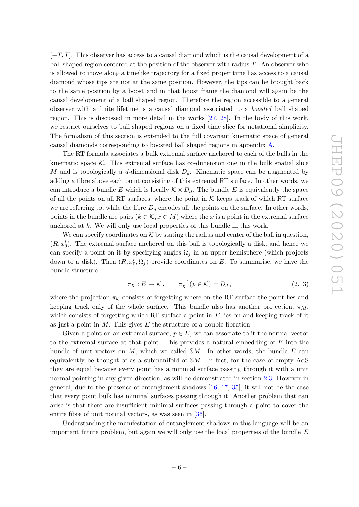$[-T, T]$ . This observer has access to a causal diamond which is the causal development of a ball shaped region centered at the position of the observer with radius  $T$ . An observer who is allowed to move along a timelike trajectory for a fixed proper time has access to a causal diamond whose tips are not at the same position. However, the tips can be brought back to the same position by a boost and in that boost frame the diamond will again be the causal development of a ball shaped region. Therefore the region accessible to a general observer with a finite lifetime is a causal diamond associated to a boosted ball shaped region. This is discussed in more detail in the works [\[27,](#page-40-13) [28\]](#page-41-0). In the body of this work, we restrict ourselves to ball shaped regions on a fixed time slice for notational simplicity. The formalism of this section is extended to the full covariant kinematic space of general causal diamonds corresponding to boosted ball shaped regions in appendix [A.](#page-33-0)

The RT formula associates a bulk extremal surface anchored to each of the balls in the kinematic space  $K$ . This extremal surface has co-dimension one in the bulk spatial slice M and is topologically a d-dimensional disk  $D_d$ . Kinematic space can be augmented by adding a fibre above each point consisting of this extremal RT surface. In other words, we can introduce a bundle E which is locally  $K \times D_d$ . The bundle E is equivalently the space of all the points on all RT surfaces, where the point in  $K$  keeps track of which RT surface we are referring to, while the fibre  $D_d$  encodes all the points on the surface. In other words, points in the bundle are pairs  $(k \in \mathcal{K}, x \in M)$  where the x is a point in the extremal surface anchored at k. We will only use local properties of this bundle in this work.

We can specify coordinates on  $K$  by stating the radius and center of the ball in question,  $(R, x_0^i)$ . The extremal surface anchored on this ball is topologically a disk, and hence we can specify a point on it by specifying angles  $\Omega_i$  in an upper hemisphere (which projects down to a disk). Then  $(R, x_0^i, \Omega_j)$  provide coordinates on E. To summarise, we have the bundle structure

$$
\pi_{\mathcal{K}} : E \to \mathcal{K}, \qquad \pi_{\mathcal{K}}^{-1}(p \in \mathcal{K}) = D_d, \tag{2.13}
$$

where the projection  $\pi_K$  consists of forgetting where on the RT surface the point lies and keeping track only of the whole surface. This bundle also has another projection,  $\pi_M$ , which consists of forgetting which RT surface a point in  $E$  lies on and keeping track of it as just a point in  $M$ . This gives  $E$  the structure of a double-fibration.

Given a point on an extremal surface,  $p \in E$ , we can associate to it the normal vector to the extremal surface at that point. This provides a natural embedding of  $E$  into the bundle of unit vectors on  $M$ , which we called  $\mathbb{S}M$ . In other words, the bundle  $E$  can equivalently be thought of as a submanifold of SM. In fact, for the case of empty AdS they are equal because every point has a minimal surface passing through it with a unit normal pointing in any given direction, as will be demonstrated in section [2.3.](#page-11-0) However in general, due to the presence of entanglement shadows [\[16,](#page-40-5) [17,](#page-40-7) [35\]](#page-41-7), it will not be the case that every point bulk has minimal surfaces passing through it. Another problem that can arise is that there are insufficient minimal surfaces passing through a point to cover the entire fibre of unit normal vectors, as was seen in [\[36\]](#page-41-8).

Understanding the manifestation of entanglement shadows in this language will be an important future problem, but again we will only use the local properties of the bundle  $E$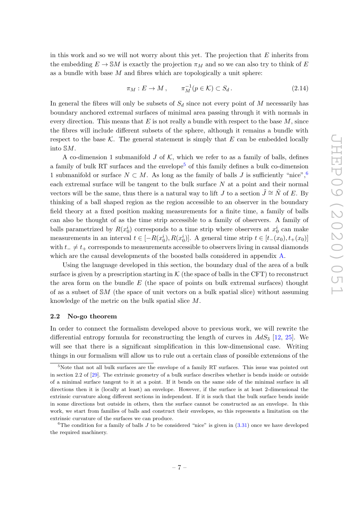in this work and so we will not worry about this yet. The projection that  $E$  inherits from the embedding  $E \to \mathcal{S}M$  is exactly the projection  $\pi_M$  and so we can also try to think of E as a bundle with base  $M$  and fibres which are topologically a unit sphere:

$$
\pi_M : E \to M \,, \qquad \pi_M^{-1}(p \in \mathcal{K}) \subset S_d \,. \tag{2.14}
$$

In general the fibres will only be subsets of  $S_d$  since not every point of M necessarily has boundary anchored extremal surfaces of minimal area passing through it with normals in every direction. This means that  $E$  is not really a bundle with respect to the base  $M$ , since the fibres will include different subsets of the sphere, although it remains a bundle with respect to the base K. The general statement is simply that  $E$  can be embedded locally into SM.

A co-dimension 1 submanifold  $J$  of  $K$ , which we refer to as a family of balls, defines a family of bulk RT surfaces and the envelope<sup>[5](#page-7-1)</sup> of this family defines a bulk co-dimension 1 submanifold or surface  $N \subset M$ . As long as the family of balls J is sufficiently "nice",<sup>[6](#page-7-2)</sup> each extremal surface will be tangent to the bulk surface  $N$  at a point and their normal vectors will be the same, thus there is a natural way to lift J to a section  $\tilde{J} \cong \tilde{N}$  of E. By thinking of a ball shaped region as the region accessible to an observer in the boundary field theory at a fixed position making measurements for a finite time, a family of balls can also be thought of as the time strip accessible to a family of observers. A family of balls parametrized by  $R(x_0^i)$  corresponds to a time strip where observers at  $x_0^i$  can make measurements in an interval  $t \in [-R(x_0^i), R(x_0^i)]$ . A general time strip  $t \in [t_-(x_0), t_+(x_0)]$ with  $t_-\neq t_+$  corresponds to measurements accessible to observers living in causal diamonds which are the causal developments of the boosted balls considered in appendix [A.](#page-33-0)

Using the language developed in this section, the boundary dual of the area of a bulk surface is given by a prescription starting in  $K$  (the space of balls in the CFT) to reconstruct the area form on the bundle  $E$  (the space of points on bulk extremal surfaces) thought of as a subset of SM (the space of unit vectors on a bulk spatial slice) without assuming knowledge of the metric on the bulk spatial slice M.

#### <span id="page-7-0"></span>2.2 No-go theorem

In order to connect the formalism developed above to previous work, we will rewrite the differential entropy formula for reconstructing the length of curves in  $AdS_3$  [\[12,](#page-40-12) [25\]](#page-40-11). We will see that there is a significant simplification in this low-dimensional case. Writing things in our formalism will allow us to rule out a certain class of possible extensions of the

<span id="page-7-1"></span><sup>&</sup>lt;sup>5</sup>Note that not all bulk surfaces are the envelope of a family RT surfaces. This issue was pointed out in section 2.2 of [\[29\]](#page-41-1). The extrinsic geometry of a bulk surface describes whether is bends inside or outside of a minimal surface tangent to it at a point. If it bends on the same side of the minimal surface in all directions then it is (locally at least) an envelope. However, if the surface is at least 2-dimensional the extrinsic curvature along different sections in independent. If it is such that the bulk surface bends inside in some directions but outside in others, then the surface cannot be constructed as an envelope. In this work, we start from families of balls and construct their envelopes, so this represents a limitation on the extrinsic curvature of the surfaces we can produce.

<span id="page-7-2"></span><sup>&</sup>lt;sup>6</sup>The condition for a family of balls  $J$  to be considered "nice" is given in  $(3.31)$  once we have developed the required machinery.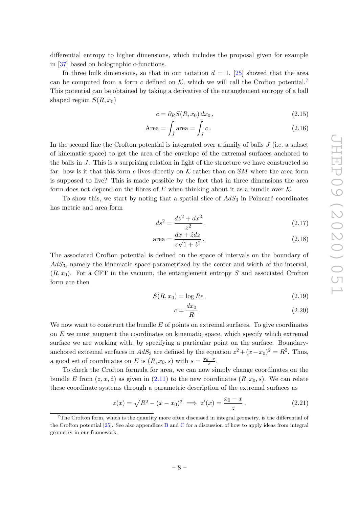differential entropy to higher dimensions, which includes the proposal given for example in [\[37\]](#page-41-9) based on holographic c-functions.

In three bulk dimensions, so that in our notation  $d = 1$ , [\[25\]](#page-40-11) showed that the area can be computed from a form c defined on  $K$ , which we will call the Crofton potential.<sup>[7](#page-8-0)</sup> This potential can be obtained by taking a derivative of the entanglement entropy of a ball shaped region  $S(R, x_0)$ 

$$
c = \partial_R S(R, x_0) dx_0, \qquad (2.15)
$$

$$
\text{Area} = \int_{\tilde{J}} \text{area} = \int_{J} c. \tag{2.16}
$$

In the second line the Crofton potential is integrated over a family of balls  $J$  (i.e. a subset of kinematic space) to get the area of the envelope of the extremal surfaces anchored to the balls in  $J$ . This is a surprising relation in light of the structure we have constructed so far: how is it that this form c lives directly on  $K$  rather than on  $SM$  where the area form is supposed to live? This is made possible by the fact that in three dimensions the area form does not depend on the fibres of E when thinking about it as a bundle over  $K$ .

To show this, we start by noting that a spatial slice of  $AdS_3$  in Poincaré coordinates has metric and area form

<span id="page-8-1"></span>
$$
ds^2 = \frac{dz^2 + dx^2}{z^2} \,. \tag{2.17}
$$

$$
area = \frac{dx + \dot{z}dz}{z\sqrt{1 + \dot{z}^2}}.
$$
\n(2.18)

The associated Crofton potential is defined on the space of intervals on the boundary of  $AdS<sub>3</sub>$ , namely the kinematic space parametrized by the center and width of the interval,  $(R, x_0)$ . For a CFT in the vacuum, the entanglement entropy S and associated Crofton form are then

$$
S(R, x_0) = \log Re , \qquad (2.19)
$$

$$
c = \frac{dx_0}{R} \,. \tag{2.20}
$$

We now want to construct the bundle  $E$  of points on extremal surfaces. To give coordinates on  $E$  we must augment the coordinates on kinematic space, which specify which extremal surface we are working with, by specifying a particular point on the surface. Boundaryanchored extremal surfaces in  $AdS_3$  are defined by the equation  $z^2 + (x - x_0)^2 = R^2$ . Thus, a good set of coordinates on E is  $(R, x_0, s)$  with  $s = \frac{x_0 - x}{z}$ .

To check the Crofton formula for area, we can now simply change coordinates on the bundle E from  $(z, x, \dot{z})$  as given in [\(2.11\)](#page-5-1) to the new coordinates  $(R, x_0, s)$ . We can relate these coordinate systems through a parametric description of the extremal surfaces as

$$
z(x) = \sqrt{R^2 - (x - x_0)^2} \implies z'(x) = \frac{x_0 - x}{z} \,.
$$
 (2.21)

<span id="page-8-0"></span> $7$ The Crofton form, which is the quantity more often discussed in integral geometry, is the differential of the [C](#page-37-0)rofton potential  $[25]$ . See also appendices [B](#page-35-0) and C for a discussion of how to apply ideas from integral geometry in our framework.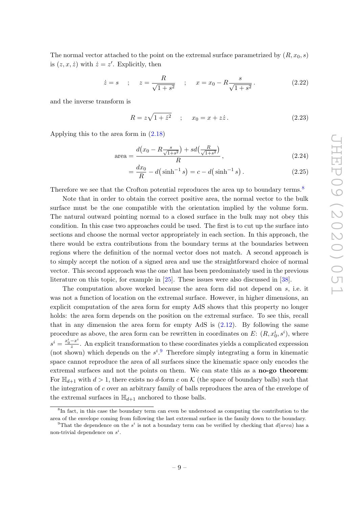The normal vector attached to the point on the extremal surface parametrized by  $(R, x_0, s)$ is  $(z, x, \dot{z})$  with  $\dot{z} = z'$ . Explicitly, then

$$
\dot{z} = s
$$
 ;  $z = \frac{R}{\sqrt{1+s^2}}$  ;  $x = x_0 - R \frac{s}{\sqrt{1+s^2}}$ . (2.22)

and the inverse transform is

$$
R = z\sqrt{1 + \dot{z}^2} \quad ; \quad x_0 = x + z\dot{z} \,. \tag{2.23}
$$

Applying this to the area form in [\(2.18\)](#page-8-1)

area = 
$$
\frac{d(x_0 - R\frac{s}{\sqrt{1+s^2}}) + sd(\frac{R}{\sqrt{1+s^2}})}{R},
$$
 (2.24)

$$
= \frac{dx_0}{R} - d(\sinh^{-1} s) = c - d(\sinh^{-1} s). \tag{2.25}
$$

Therefore we see that the Crofton potential reproduces the area up to boundary terms.<sup>[8](#page-9-0)</sup>

Note that in order to obtain the correct positive area, the normal vector to the bulk surface must be the one compatible with the orientation implied by the volume form. The natural outward pointing normal to a closed surface in the bulk may not obey this condition. In this case two approaches could be used. The first is to cut up the surface into sections and choose the normal vector appropriately in each section. In this approach, the there would be extra contributions from the boundary terms at the boundaries between regions where the definition of the normal vector does not match. A second approach is to simply accept the notion of a signed area and use the straightforward choice of normal vector. This second approach was the one that has been predominately used in the previous literature on this topic, for example in [\[25\]](#page-40-11). These issues were also discussed in [\[38\]](#page-41-10).

The computation above worked because the area form did not depend on s, i.e. it was not a function of location on the extremal surface. However, in higher dimensions, an explicit computation of the area form for empty AdS shows that this property no longer holds: the area form depends on the position on the extremal surface. To see this, recall that in any dimension the area form for empty AdS is  $(2.12)$ . By following the same procedure as above, the area form can be rewritten in coordinates on E:  $(R, x_0^i, s^i)$ , where  $s^i = \frac{x_0^i - x^i}{z}$  $\frac{-x}{z}$ . An explicit transformation to these coordinates yields a complicated expression (not shown) which depends on the  $s^i$ . Therefore simply integrating a form in kinematic space cannot reproduce the area of all surfaces since the kinematic space only encodes the extremal surfaces and not the points on them. We can state this as a no-go theorem: For  $\mathbb{H}_{d+1}$  with  $d > 1$ , there exists no d-form c on K (the space of boundary balls) such that the integration of c over an arbitrary family of balls reproduces the area of the envelope of the extremal surfaces in  $\mathbb{H}_{d+1}$  anchored to those balls.

<span id="page-9-0"></span><sup>&</sup>lt;sup>8</sup>In fact, in this case the boundary term can even be understood as computing the contribution to the area of the envelope coming from following the last extremal surface in the family down to the boundary.

<span id="page-9-1"></span><sup>&</sup>lt;sup>9</sup>That the dependence on the s<sup>i</sup> is not a boundary term can be verified by checking that  $d(area)$  has a non-trivial dependence on  $s^i$ .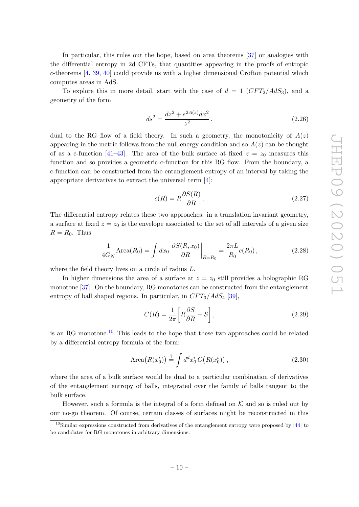In particular, this rules out the hope, based on area theorems [\[37\]](#page-41-9) or analogies with the differential entropy in 2d CFTs, that quantities appearing in the proofs of entropic c-theorems [\[4,](#page-39-1) [39,](#page-41-11) [40\]](#page-41-12) could provide us with a higher dimensional Crofton potential which computes areas in AdS.

To explore this in more detail, start with the case of  $d = 1$  (CFT<sub>2</sub>/AdS<sub>3</sub>), and a geometry of the form

$$
ds^2 = \frac{dz^2 + e^{2A(z)}dx^2}{z^2},
$$
\n(2.26)

dual to the RG flow of a field theory. In such a geometry, the monotonicity of  $A(z)$ appearing in the metric follows from the null energy condition and so  $A(z)$  can be thought of as a c-function [\[41](#page-41-13)[–43\]](#page-41-14). The area of the bulk surface at fixed  $z = z_0$  measures this function and so provides a geometric c-function for this RG flow. From the boundary, a c-function can be constructed from the entanglement entropy of an interval by taking the appropriate derivatives to extract the universal term [\[4\]](#page-39-1):

$$
c(R) = R \frac{\partial S(R)}{\partial R}.
$$
\n(2.27)

The differential entropy relates these two approaches: in a translation invariant geometry, a surface at fixed  $z = z_0$  is the envelope associated to the set of all intervals of a given size  $R = R_0$ . Thus

$$
\frac{1}{4G_N} \text{Area}(R_0) = \int dx_0 \left. \frac{\partial S(R, x_0)}{\partial R} \right|_{R=R_0} = \frac{2\pi L}{R_0} c(R_0),\tag{2.28}
$$

where the field theory lives on a circle of radius L.

In higher dimensions the area of a surface at  $z = z_0$  still provides a holographic RG monotone [\[37\]](#page-41-9). On the boundary, RG monotones can be constructed from the entanglement entropy of ball shaped regions. In particular, in  $CFT_3/AdS_4$  [\[39\]](#page-41-11),

$$
C(R) = \frac{1}{2\pi} \left[ R \frac{\partial S}{\partial R} - S \right],\tag{2.29}
$$

is an RG monotone.<sup>[10](#page-10-0)</sup> This leads to the hope that these two approaches could be related by a differential entropy formula of the form:

Area
$$
(R(x_0^i)) \stackrel{?}{=} \int d^d x_0^i C(R(x_0^i)),
$$
 (2.30)

where the area of a bulk surface would be dual to a particular combination of derivatives of the entanglement entropy of balls, integrated over the family of balls tangent to the bulk surface.

However, such a formula is the integral of a form defined on  $K$  and so is ruled out by our no-go theorem. Of course, certain classes of surfaces might be reconstructed in this

<span id="page-10-0"></span> $10$ Similar expressions constructed from derivatives of the entanglement entropy were proposed by [\[44\]](#page-41-15) to be candidates for RG monotones in arbitrary dimensions.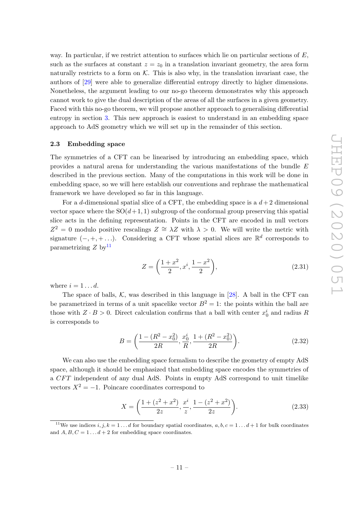way. In particular, if we restrict attention to surfaces which lie on particular sections of  $E$ , such as the surfaces at constant  $z = z_0$  in a translation invariant geometry, the area form naturally restricts to a form on  $K$ . This is also why, in the translation invariant case, the authors of [\[29\]](#page-41-1) were able to generalize differential entropy directly to higher dimensions. Nonetheless, the argument leading to our no-go theorem demonstrates why this approach cannot work to give the dual description of the areas of all the surfaces in a given geometry. Faced with this no-go theorem, we will propose another approach to generalising differential entropy in section [3.](#page-14-0) This new approach is easiest to understand in an embedding space approach to AdS geometry which we will set up in the remainder of this section.

## <span id="page-11-0"></span>2.3 Embedding space

The symmetries of a CFT can be linearised by introducing an embedding space, which provides a natural arena for understanding the various manifestations of the bundle E described in the previous section. Many of the computations in this work will be done in embedding space, so we will here establish our conventions and rephrase the mathematical framework we have developed so far in this language.

For a d-dimensional spatial slice of a CFT, the embedding space is a  $d+2$  dimensional vector space where the  $SO(d+1, 1)$  subgroup of the conformal group preserving this spatial slice acts in the defining representation. Points in the CFT are encoded in null vectors  $Z^2 = 0$  modulo positive rescalings  $Z \cong \lambda Z$  with  $\lambda > 0$ . We will write the metric with signature  $(-, +, + \ldots)$ . Considering a CFT whose spatial slices are  $\mathbb{R}^d$  corresponds to parametrizing  $Z$  by  $11$ 

<span id="page-11-2"></span>
$$
Z = \left(\frac{1+x^2}{2}, x^i, \frac{1-x^2}{2}\right),\tag{2.31}
$$

where  $i = 1 \dots d$ .

The space of balls,  $K$ , was described in this language in [\[28\]](#page-41-0). A ball in the CFT can be parametrized in terms of a unit spacelike vector  $B^2 = 1$ : the points within the ball are those with  $Z \cdot B > 0$ . Direct calculation confirms that a ball with center  $x_0^i$  and radius R is corresponds to

$$
B = \left(\frac{1 - (R^2 - x_0^2)}{2R}, \frac{x_0^i}{R}, \frac{1 + (R^2 - x_0^2)}{2R}\right).
$$
 (2.32)

We can also use the embedding space formalism to describe the geometry of empty AdS space, although it should be emphasized that embedding space encodes the symmetries of a CFT independent of any dual AdS. Points in empty AdS correspond to unit timelike vectors  $X^2 = -1$ . Poincare coordinates correspond to

$$
X = \left(\frac{1 + (z^2 + x^2)}{2z}, \frac{x^i}{z}, \frac{1 - (z^2 + x^2)}{2z}\right).
$$
 (2.33)

<span id="page-11-1"></span><sup>&</sup>lt;sup>11</sup>We use indices i, j,  $k = 1...d$  for boundary spatial coordinates,  $a, b, c = 1...d + 1$  for bulk coordinates and  $A, B, C = 1...d+2$  for embedding space coordinates.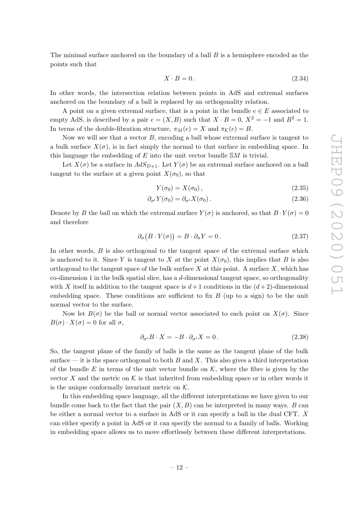The minimal surface anchored on the boundary of a ball  $B$  is a hemisphere encoded as the points such that

$$
X \cdot B = 0. \tag{2.34}
$$

In other words, the intersection relation between points in AdS and extremal surfaces anchored on the boundary of a ball is replaced by an orthogonality relation.

A point on a given extremal surface, that is a point in the bundle  $e \in E$  associated to empty AdS, is described by a pair  $e = (X, B)$  such that  $X \cdot B = 0$ ,  $X^2 = -1$  and  $B^2 = 1$ . In terms of the double-fibration structure,  $\pi_M(e) = X$  and  $\pi_K(e) = B$ .

Now we will see that a vector  $B$ , encoding a ball whose extremal surface is tangent to a bulk surface  $X(\sigma)$ , is in fact simply the normal to that surface in embedding space. In this language the embedding of  $E$  into the unit vector bundle  $\mathcal{S}M$  is trivial.

Let  $X(\sigma)$  be a surface in  $AdS_{D+1}$ . Let  $Y(\sigma)$  be an extremal surface anchored on a ball tangent to the surface at a given point  $X(\sigma_0)$ , so that

$$
Y(\sigma_0) = X(\sigma_0), \qquad (2.35)
$$

$$
\partial_{\sigma^i} Y(\sigma_0) = \partial_{\sigma^i} X(\sigma_0).
$$
\n(2.36)

Denote by B the ball on which the extremal surface  $Y(\sigma)$  is anchored, so that  $B \cdot Y(\sigma) = 0$ and therefore

$$
\partial_{\sigma} (B \cdot Y(\sigma)) = B \cdot \partial_{\sigma} Y = 0. \qquad (2.37)
$$

In other words,  $B$  is also orthogonal to the tangent space of the extremal surface which is anchored to it. Since Y is tangent to X at the point  $X(\sigma_0)$ , this implies that B is also orthogonal to the tangent space of the bulk surface  $X$  at this point. A surface  $X$ , which has co-dimension 1 in the bulk spatial slice, has a  $d$ -dimensional tangent space, so orthogonality with X itself in addition to the tangent space is  $d+1$  conditions in the  $(d+2)$ -dimensional embedding space. These conditions are sufficient to fix  $B$  (up to a sign) to be the unit normal vector to the surface.

Now let  $B(\sigma)$  be the ball or normal vector associated to each point on  $X(\sigma)$ . Since  $B(\sigma) \cdot X(\sigma) = 0$  for all  $\sigma$ ,

$$
\partial_{\sigma^i} B \cdot X = -B \cdot \partial_{\sigma^i} X = 0. \tag{2.38}
$$

So, the tangent plane of the family of balls is the same as the tangent plane of the bulk surface — it is the space orthogonal to both  $B$  and  $X$ . This also gives a third interpretation of the bundle E in terms of the unit vector bundle on  $K$ , where the fibre is given by the vector X and the metric on K is that inherited from embedding space or in other words it is the unique conformally invariant metric on  $K$ .

In this embedding space language, all the different interpretations we have given to our bundle come back to the fact that the pair  $(X, B)$  can be interpreted in many ways. B can be either a normal vector to a surface in AdS or it can specify a ball in the dual CFT. X can either specify a point in AdS or it can specify the normal to a family of balls. Working in embedding space allows us to move effortlessly between these different interpretations.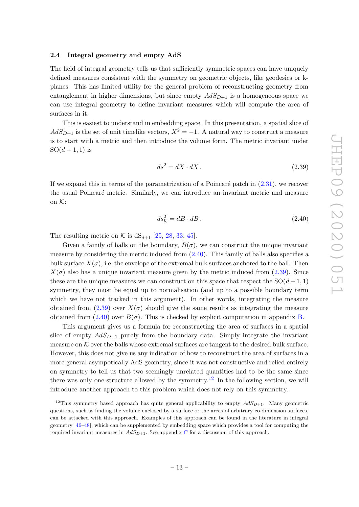#### <span id="page-13-0"></span>2.4 Integral geometry and empty AdS

The field of integral geometry tells us that sufficiently symmetric spaces can have uniquely defined measures consistent with the symmetry on geometric objects, like geodesics or kplanes. This has limited utility for the general problem of reconstructing geometry from entanglement in higher dimensions, but since empty  $AdS_{D+1}$  is a homogeneous space we can use integral geometry to define invariant measures which will compute the area of surfaces in it.

This is easiest to understand in embedding space. In this presentation, a spatial slice of  $AdS_{D+1}$  is the set of unit timelike vectors,  $X^2 = -1$ . A natural way to construct a measure is to start with a metric and then introduce the volume form. The metric invariant under  $SO(d + 1, 1)$  is

<span id="page-13-2"></span>
$$
ds^2 = dX \cdot dX \tag{2.39}
$$

If we expand this in terms of the parametrization of a Poincaré patch in  $(2.31)$ , we recover the usual Poincaré metric. Similarly, we can introduce an invariant metric and measure on  $K$ :

<span id="page-13-1"></span>
$$
ds^2_{\mathcal{K}} = dB \cdot dB. \tag{2.40}
$$

The resulting metric on K is  $dS_{d+1}$  [\[25,](#page-40-11) [28,](#page-41-0) [33,](#page-41-5) [45\]](#page-41-16).

Given a family of balls on the boundary,  $B(\sigma)$ , we can construct the unique invariant measure by considering the metric induced from  $(2.40)$ . This family of balls also specifies a bulk surface  $X(\sigma)$ , i.e. the envelope of the extremal bulk surfaces anchored to the ball. Then  $X(\sigma)$  also has a unique invariant measure given by the metric induced from [\(2.39\)](#page-13-2). Since these are the unique measures we can construct on this space that respect the  $SO(d+1,1)$ symmetry, they must be equal up to normalisation (and up to a possible boundary term which we have not tracked in this argument). In other words, integrating the measure obtained from [\(2.39\)](#page-13-2) over  $X(\sigma)$  should give the same results as integrating the measure obtained from  $(2.40)$  over  $B(\sigma)$ . This is checked by explicit computation in appendix [B.](#page-35-0)

This argument gives us a formula for reconstructing the area of surfaces in a spatial slice of empty  $AdS_{D+1}$  purely from the boundary data. Simply integrate the invariant measure on  $K$  over the balls whose extremal surfaces are tangent to the desired bulk surface. However, this does not give us any indication of how to reconstruct the area of surfaces in a more general asympotically AdS geometry, since it was not constructive and relied entirely on symmetry to tell us that two seemingly unrelated quantities had to be the same since there was only one structure allowed by the symmetry.<sup>[12](#page-13-3)</sup> In the following section, we will introduce another approach to this problem which does not rely on this symmetry.

<span id="page-13-3"></span><sup>&</sup>lt;sup>12</sup>This symmetry based approach has quite general applicability to empty  $AdS_{D+1}$ . Many geometric questions, such as finding the volume enclosed by a surface or the areas of arbitrary co-dimension surfaces, can be attacked with this approach. Examples of this approach can be found in the literature in integral geometry [\[46–](#page-41-17)[48\]](#page-42-0), which can be supplemented by embedding space which provides a tool for computing the required invariant measures in  $AdS_{D+1}$ . See appendix [C](#page-37-0) for a discussion of this approach.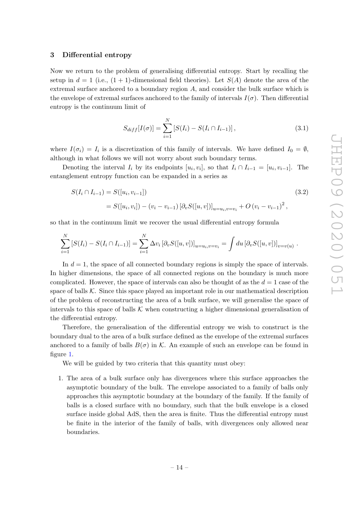## <span id="page-14-0"></span>3 Differential entropy

Now we return to the problem of generalising differential entropy. Start by recalling the setup in  $d = 1$  (i.e.,  $(1 + 1)$ -dimensional field theories). Let  $S(A)$  denote the area of the extremal surface anchored to a boundary region  $A$ , and consider the bulk surface which is the envelope of extremal surfaces anchored to the family of intervals  $I(\sigma)$ . Then differential entropy is the continuum limit of

$$
S_{diff}[I(\sigma)] = \sum_{i=1}^{N} [S(I_i) - S(I_i \cap I_{i-1})],
$$
\n(3.1)

where  $I(\sigma_i) = I_i$  is a discretization of this family of intervals. We have defined  $I_0 = \emptyset$ , although in what follows we will not worry about such boundary terms.

Denoting the interval  $I_i$  by its endpoints  $[u_i, v_i]$ , so that  $I_i \cap I_{i-1} = [u_i, v_{i-1}]$ . The entanglement entropy function can be expanded in a series as

$$
S(I_i \cap I_{i-1}) = S([u_i, v_{i-1}])
$$
\n
$$
= S([u_i, v_i]) - (v_i - v_{i-1}) [\partial_v S([u, v])]_{u = u_i, v = v_i} + O(v_i - v_{i-1})^2,
$$
\n(3.2)

so that in the continuum limit we recover the usual differential entropy formula

$$
\sum_{i=1}^N \left[ S(I_i) - S(I_i \cap I_{i-1}) \right] = \sum_{i=1}^N \Delta v_i \left[ \partial_v S([u, v]) \right]_{u=u_i, v=v_i} = \int du \left[ \partial_v S([u, v]) \right]_{v=v(u)}.
$$

In  $d = 1$ , the space of all connected boundary regions is simply the space of intervals. In higher dimensions, the space of all connected regions on the boundary is much more complicated. However, the space of intervals can also be thought of as the  $d = 1$  case of the space of balls  $K$ . Since this space played an important role in our mathematical description of the problem of reconstructing the area of a bulk surface, we will generalise the space of intervals to this space of balls  $K$  when constructing a higher dimensional generalisation of the differential entropy.

Therefore, the generalisation of the differential entropy we wish to construct is the boundary dual to the area of a bulk surface defined as the envelope of the extremal surfaces anchored to a family of balls  $B(\sigma)$  in K. An example of such an envelope can be found in figure [1.](#page-15-0)

We will be guided by two criteria that this quantity must obey:

1. The area of a bulk surface only has divergences where this surface approaches the asymptotic boundary of the bulk. The envelope associated to a family of balls only approaches this asymptotic boundary at the boundary of the family. If the family of balls is a closed surface with no boundary, such that the bulk envelope is a closed surface inside global AdS, then the area is finite. Thus the differential entropy must be finite in the interior of the family of balls, with divergences only allowed near boundaries.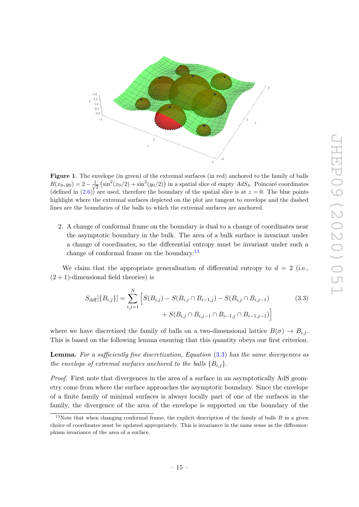

<span id="page-15-0"></span>Figure 1. The envelope (in green) of the extremal surfaces (in red) anchored to the family of balls  $R(x_0, y_0) = 2 - \frac{1}{\sqrt{2}}$  $\frac{1}{2}$   $\left(\sin^2(x_0/2) + \sin^2(y_0/2)\right)$  in a spatial slice of empty  $AdS_4$ . Poincaré coordinates (defined in  $(2.6)$ ) are used, therefore the boundary of the spatial slice is at  $z = 0$ . The blue points highlight where the extremal surfaces depicted on the plot are tangent to envelope and the dashed lines are the boundaries of the balls to which the extremal surfaces are anchored.

2. A change of conformal frame on the boundary is dual to a change of coordinates near the asymptotic boundary in the bulk. The area of a bulk surface is invariant under a change of coordinates, so the differential entropy must be invariant under such a change of conformal frame on the boundary.<sup>[13](#page-15-1)</sup>

We claim that the appropriate generalisation of differential entropy to  $d = 2$  (i.e.,  $(2 + 1)$ -dimensional field theories) is

<span id="page-15-2"></span>
$$
S_{\text{diff}}[\{B_{i,j}\}] = \sum_{i,j=1}^{N} \left[ S(B_{i,j}) - S(B_{i,j} \cap B_{i-1,j}) - S(B_{i,j} \cap B_{i,j-1}) + S(B_{i,j} \cap B_{i,j-1} \cap B_{i-1,j} \cap B_{i-1,j-1}) \right]
$$
(3.3)

where we have discretized the family of balls on a two-dimensional lattice  $B(\sigma) \to B_{i,j}$ . This is based on the following lemma ensuring that this quantity obeys our first criterion.

Lemma. For a sufficiently fine discretization, Equation [\(3.3\)](#page-15-2) has the same divergences as the envelope of extremal surfaces anchored to the balls  $\{B_{i,j}\}.$ 

Proof. First note that divergences in the area of a surface in an asymptotically AdS geometry come from where the surface approaches the asymptotic boundary. Since the envelope of a finite family of minimal surfaces is always locally part of one of the surfaces in the family, the divergence of the area of the envelope is supported on the boundary of the

<span id="page-15-1"></span><sup>&</sup>lt;sup>13</sup>Note that when changing conformal frame, the explicit description of the family of balls  $B$  in a given choice of coordinates must be updated appropriately. This is invariance in the same sense as the diffeomorphism invariance of the area of a surface.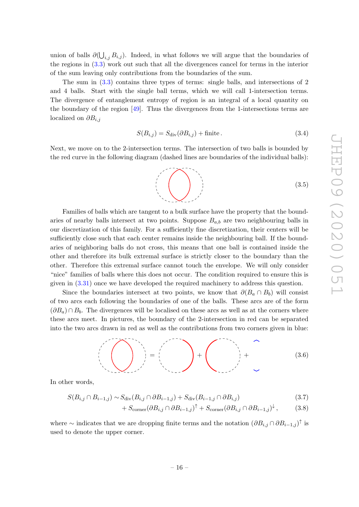union of balls  $\partial(\bigcup_{i,j} B_{i,j})$ . Indeed, in what follows we will argue that the boundaries of the regions in [\(3.3\)](#page-15-2) work out such that all the divergences cancel for terms in the interior of the sum leaving only contributions from the boundaries of the sum.

The sum in [\(3.3\)](#page-15-2) contains three types of terms: single balls, and intersections of 2 and 4 balls. Start with the single ball terms, which we will call 1-intersection terms. The divergence of entanglement entropy of region is an integral of a local quantity on the boundary of the region [\[49\]](#page-42-1). Thus the divergences from the 1-intersections terms are localized on  $\partial B_{i,j}$ 

$$
S(B_{i,j}) = S_{\text{div}}(\partial B_{i,j}) + \text{finite} \,. \tag{3.4}
$$

Next, we move on to the 2-intersection terms. The intersection of two balls is bounded by the red curve in the following diagram (dashed lines are boundaries of the individual balls):

$$
(3.5)
$$

Families of balls which are tangent to a bulk surface have the property that the boundaries of nearby balls intersect at two points. Suppose  $B_{a,b}$  are two neighbouring balls in our discretization of this family. For a sufficiently fine discretization, their centers will be sufficiently close such that each center remains inside the neighbouring ball. If the boundaries of neighboring balls do not cross, this means that one ball is contained inside the other and therefore its bulk extremal surface is strictly closer to the boundary than the other. Therefore this extremal surface cannot touch the envelope. We will only consider "nice" families of balls where this does not occur. The condition required to ensure this is given in [\(3.31\)](#page-21-1) once we have developed the required machinery to address this question.

Since the boundaries intersect at two points, we know that  $\partial(B_a \cap B_b)$  will consist of two arcs each following the boundaries of one of the balls. These arcs are of the form  $(\partial B_a) \cap B_b$ . The divergences will be localised on these arcs as well as at the corners where these arcs meet. In pictures, the boundary of the 2-intersection in red can be separated into the two arcs drawn in red as well as the contributions from two corners given in blue:

$$
\left(\left(\begin{array}{c}\ddots\\ \ddots\\ \ddots \end{array}\right)\right) = \left(\begin{array}{c}\ddots\\ \ddots\\ \ddots \end{array}\right) + \left(\begin{array}{c}\ddots\\ \ddots\\ \ddots \end{array}\right) + \left(\begin{array}{c}\ddots\\ \ddots\\ \ddots \end{array}\right) \tag{3.6}
$$

In other words,

$$
S(B_{i,j} \cap B_{i-1,j}) \sim S_{\text{div}}(B_{i,j} \cap \partial B_{i-1,j}) + S_{\text{div}}(B_{i-1,j} \cap \partial B_{i,j})
$$
\n
$$
(3.7)
$$

$$
+ S_{\text{corner}} (\partial B_{i,j} \cap \partial B_{i-1,j})^{\uparrow} + S_{\text{corner}} (\partial B_{i,j} \cap \partial B_{i-1,j})^{\downarrow}, \tag{3.8}
$$

where  $\sim$  indicates that we are dropping finite terms and the notation  $(\partial B_{i,j} \cap \partial B_{i-1,j})^{\dagger}$  is used to denote the upper corner.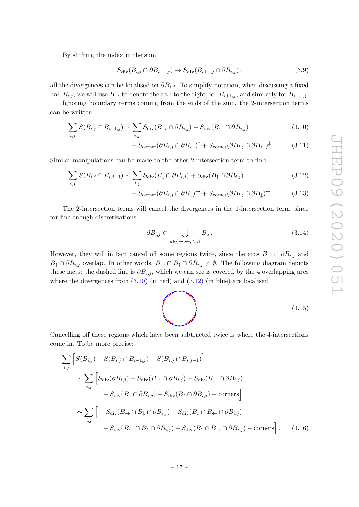By shifting the index in the sum

$$
S_{\text{div}}(B_{i,j} \cap \partial B_{i-1,j}) \to S_{\text{div}}(B_{i+1,j} \cap \partial B_{i,j}). \tag{3.9}
$$

all the divergences can be localised on  $\partial B_{i,j}$ . To simplify notation, when discussing a fixed ball  $B_{i,j}$ , we will use  $B_{\rightarrow}$  to denote the ball to the right, ie:  $B_{i+1,j}$ , and similarly for  $B_{\leftarrow,\uparrow,\downarrow}$ .

Ignoring boundary terms coming from the ends of the sum, the 2-intersection terms can be written

$$
\sum_{i,j} S(B_{i,j} \cap B_{i-1,j}) \sim \sum_{i,j} S_{\text{div}}(B_{\to} \cap \partial B_{i,j}) + S_{\text{div}}(B_{\leftarrow} \cap \partial B_{i,j})
$$
(3.10)

<span id="page-17-3"></span><span id="page-17-0"></span>
$$
+ S_{\text{corner}} (\partial B_{i,j} \cap \partial B_{\leftarrow})^{\uparrow} + S_{\text{corner}} (\partial B_{i,j} \cap \partial B_{\leftarrow})^{\downarrow}.
$$
 (3.11)

Similar manipulations can be made to the other 2-intersection term to find

$$
\sum_{i,j} S(B_{i,j} \cap B_{i,j-1}) \sim \sum_{i,j} S_{\text{div}}(B_{\downarrow} \cap \partial B_{i,j}) + S_{\text{div}}(B_{\uparrow} \cap \partial B_{i,j}) \tag{3.12}
$$

+ 
$$
S_{\text{corner}}(\partial B_{i,j} \cap \partial B_{\downarrow})^{\rightarrow} + S_{\text{corner}}(\partial B_{i,j} \cap \partial B_{\downarrow})^{\leftarrow}
$$
. (3.13)

The 2-intersection terms will cancel the divergences in the 1-intersection term, since for fine enough discretizations

<span id="page-17-4"></span><span id="page-17-1"></span>
$$
\partial B_{i,j} \subset \bigcup_{a \in \{\rightarrow, \leftarrow, \uparrow, \downarrow\}} B_a. \tag{3.14}
$$

However, they will in fact cancel off some regions twice, since the arcs  $B_{\rightarrow} \cap \partial B_{i,j}$  and  $B_{\uparrow} \cap \partial B_{i,j}$  overlap. In other words,  $B_{\rightarrow} \cap B_{\uparrow} \cap \partial B_{i,j} \neq \emptyset$ . The following diagram depicts these facts: the dashed line is  $\partial B_{i,j}$ , which we can see is covered by the 4 overlapping arcs where the divergences from  $(3.10)$  (in red) and  $(3.12)$  (in blue) are localised

<span id="page-17-2"></span>
$$
\tag{3.15}
$$

Cancelling off these regions which have been subtracted twice is where the 4-intersections come in. To be more precise:

$$
\sum_{i,j} \left[ S(B_{i,j}) - S(B_{i,j} \cap B_{i-1,j}) - S(B_{i,j} \cap B_{i,j-1}) \right]
$$
  
\n
$$
\sim \sum_{i,j} \left[ S_{\text{div}}(\partial B_{i,j}) - S_{\text{div}}(B \to \cap \partial B_{i,j}) - S_{\text{div}}(B \gets \cap \partial B_{i,j}) - S_{\text{div}}(B_{\text{div}} \cap \partial B_{i,j}) \right]
$$
  
\n
$$
- S_{\text{div}}(B \downarrow \cap \partial B_{i,j}) - S_{\text{div}}(B_{\uparrow} \cap \partial B_{i,j}) - \text{corners} \right],
$$
  
\n
$$
\sim \sum_{i,j} \left[ -S_{\text{div}}(B \to \cap B_{\downarrow} \cap \partial B_{i,j}) - S_{\text{div}}(B_{\downarrow} \cap B_{\gets} \cap \partial B_{i,j}) - S_{\text{div}}(B_{\uparrow} \cap B_{\to} \cap \partial B_{i,j}) - \text{corners} \right].
$$
 (3.16)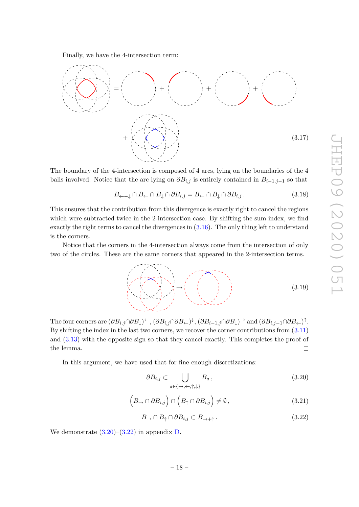<span id="page-18-2"></span> $(3.19)$ 

<span id="page-18-1"></span><span id="page-18-0"></span> $\Box$ 

Finally, we have the 4-intersection term:



The boundary of the 4-intersection is composed of 4 arcs, lying on the boundaries of the 4 balls involved. Notice that the arc lying on  $\partial B_{i,j}$  is entirely contained in  $B_{i-1,j-1}$  so that

 $B_{\leftarrow\pm\downarrow} \cap B_{\leftarrow} \cap B_{\downarrow} \cap \partial B_{i,j} = B_{\leftarrow} \cap B_{\downarrow} \cap \partial B_{i,j}.$  (3.18)

This ensures that the contribution from this divergence is exactly right to cancel the regions which were subtracted twice in the 2-intersection case. By shifting the sum index, we find exactly the right terms to cancel the divergences in  $(3.16)$ . The only thing left to understand is the corners.

Notice that the corners in the 4-intersection always come from the intersection of only two of the circles. These are the same corners that appeared in the 2-intersection terms.

The four corners are  $(\partial B_{i,j} \cap \partial B_{\downarrow})^{\leftarrow}$ ,  $(\partial B_{i,j} \cap \partial B_{\leftarrow})^{\downarrow}$ ,  $(\partial B_{i-1,j} \cap \partial B_{\downarrow})^{\rightarrow}$  and  $(\partial B_{i,j-1} \cap \partial B_{\leftarrow})^{\uparrow}$ . By shifting the index in the last two corners, we recover the corner contributions from  $(3.11)$ and [\(3.13\)](#page-17-4) with the opposite sign so that they cancel exactly. This completes the proof of

In this argument, we have used that for fine enough discretizations:

$$
\partial B_{i,j} \subset \bigcup_{a \in \{\rightarrow, \leftarrow, \uparrow, \downarrow\}} B_a, \tag{3.20}
$$

$$
(B_{\to} \cap \partial B_{i,j}) \cap (B_{\uparrow} \cap \partial B_{i,j}) \neq \emptyset, \qquad (3.21)
$$

$$
B_{\to} \cap B_{\uparrow} \cap \partial B_{i,j} \subset B_{\to +\uparrow}.
$$
\n(3.22)

We demonstrate  $(3.20)$ – $(3.22)$  in appendix [D.](#page-38-0)

the lemma.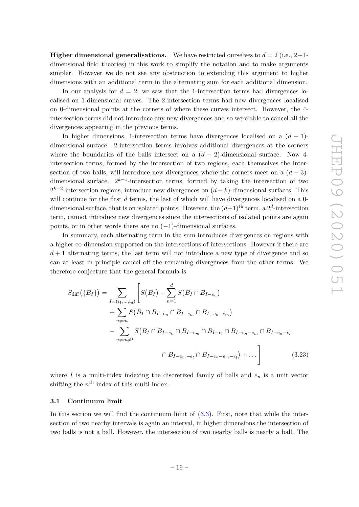**Higher dimensional generalisations.** We have restricted ourselves to  $d = 2$  (i.e.,  $2+1$ dimensional field theories) in this work to simplify the notation and to make arguments simpler. However we do not see any obstruction to extending this argument to higher dimensions with an additional term in the alternating sum for each additional dimension.

In our analysis for  $d = 2$ , we saw that the 1-intersection terms had divergences localised on 1-dimensional curves. The 2-intersection terms had new divergences localised on 0-dimensional points at the corners of where these curves intersect. However, the 4 intersection terms did not introduce any new divergences and so were able to cancel all the divergences appearing in the previous terms.

In higher dimensions, 1-intersection terms have divergences localised on a  $(d-1)$ dimensional surface. 2-intersection terms involves additional divergences at the corners where the boundaries of the balls intersect on a  $(d-2)$ -dimensional surface. Now 4intersection terms, formed by the intersection of two regions, each themselves the intersection of two balls, will introduce new divergences where the corners meet on a  $(d-3)$ dimensional surface.  $2^{k-1}$ -intersection terms, formed by taking the intersection of two  $2^{k-2}$ -intersection regions, introduce new divergences on  $(d-k)$ -dimensional surfaces. This will continue for the first  $d$  terms, the last of which will have divergences localised on a 0dimensional surface, that is on isolated points. However, the  $(d+1)$ <sup>th</sup> term, a 2<sup>d</sup>-intersection term, cannot introduce new divergences since the intersections of isolated points are again points, or in other words there are no  $(-1)$ -dimensional surfaces.

In summary, each alternating term in the sum introduces divergences on regions with a higher co-dimension supported on the intersections of intersections. However if there are  $d+1$  alternating terms, the last term will not introduce a new type of divergence and so can at least in principle cancel off the remaining divergences from the other terms. We therefore conjecture that the general formula is

<span id="page-19-1"></span>
$$
S_{\text{diff}}(\{B_{I}\}) = \sum_{\substack{I=(i_{1},...,i_{d}) \\ n \neq m}} \left[ S(B_{I}) - \sum_{n=1}^{d} S(B_{I} \cap B_{I-e_{n}}) + \sum_{n \neq m} S(B_{I} \cap B_{I-e_{n}} \cap B_{I-e_{m}} \cap B_{I-e_{n}-e_{m}}) - \sum_{n \neq m \neq l} S(B_{I} \cap B_{I-e_{n}} \cap B_{I-e_{m}} \cap B_{I-e_{n}} \cap B_{I-e_{n}-e_{m}} \cap B_{I-e_{n}-e_{m}}) + \dots \right]
$$
(3.23)

where  $I$  is a multi-index indexing the discretized family of balls and  $e_n$  is a unit vector shifting the  $n<sup>th</sup>$  index of this multi-index.

## <span id="page-19-0"></span>3.1 Continuum limit

In this section we will find the continuum limit of  $(3.3)$ . First, note that while the intersection of two nearby intervals is again an interval, in higher dimensions the intersection of two balls is not a ball. However, the intersection of two nearby balls is nearly a ball. The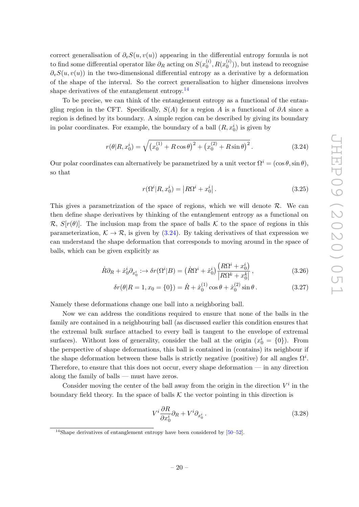correct generalisation of  $\partial_v S(u, v(u))$  appearing in the differential entropy formula is not to find some differential operator like  $\partial_R$  acting on  $S(x_0^{(i)})$  $_{0}^{(i)}, R(x_{0}^{(i)}$  $\binom{N}{0}$ , but instead to recognise  $\partial_vS(u, v(u))$  in the two-dimensional differential entropy as a derivative by a deformation of the shape of the interval. So the correct generalisation to higher dimensions involves shape derivatives of the entanglement entropy. $^{14}$  $^{14}$  $^{14}$ 

To be precise, we can think of the entanglement entropy as a functional of the entangling region in the CFT. Specifically,  $S(A)$  for a region A is a functional of  $\partial A$  since a region is defined by its boundary. A simple region can be described by giving its boundary in polar coordinates. For example, the boundary of a ball  $(R, x_0^i)$  is given by

$$
r(\theta|R, x_0^i) = \sqrt{(x_0^{(1)} + R\cos\theta)^2 + (x_0^{(2)} + R\sin\theta)^2}.
$$
 (3.24)

Our polar coordinates can alternatively be parametrized by a unit vector  $\Omega^i = (\cos \theta, \sin \theta)$ , so that

<span id="page-20-2"></span><span id="page-20-1"></span>
$$
r(\Omega^{i}|R, x_{0}^{i}) = |R\Omega^{i} + x_{0}^{i}|.
$$
\n(3.25)

This gives a parametrization of the space of regions, which we will denote  $\mathcal{R}$ . We can then define shape derivatives by thinking of the entanglement entropy as a functional on  $\mathcal{R}, S[r(\theta)].$  The inclusion map from the space of balls K to the space of regions in this parameterization,  $K \to \mathcal{R}$ , is given by [\(3.24\)](#page-20-1). By taking derivatives of that expression we can understand the shape deformation that corresponds to moving around in the space of balls, which can be given explicitly as

$$
\dot{R}\partial_R + \dot{x}_0^i \partial_{x_0^i} : \to \delta r(\Omega^i | B) = \left(\dot{R}\Omega^i + \dot{x}_0^i\right) \frac{\left(R\Omega^i + x_0^i\right)}{|R\Omega^k + x_0^k|},\tag{3.26}
$$

$$
\delta r(\theta | R = 1, x_0 = \{0\}) = \dot{R} + \dot{x}_0^{(1)} \cos \theta + \dot{x}_0^{(2)} \sin \theta.
$$
 (3.27)

Namely these deformations change one ball into a neighboring ball.

Now we can address the conditions required to ensure that none of the balls in the family are contained in a neighbouring ball (as discussed earlier this condition ensures that the extremal bulk surface attached to every ball is tangent to the envelope of extremal surfaces). Without loss of generality, consider the ball at the origin  $(x_0^i = \{0\})$ . From the perspective of shape deformations, this ball is contained in (contains) its neighbour if the shape deformation between these balls is strictly negative (positive) for all angles  $\Omega^i$ . Therefore, to ensure that this does not occur, every shape deformation — in any direction along the family of balls — must have zeros.

Consider moving the center of the ball away from the origin in the direction  $V^i$  in the boundary field theory. In the space of balls  $K$  the vector pointing in this direction is

$$
V^i \frac{\partial R}{\partial x_0^i} \partial_R + V^i \partial_{x_0^i} \,. \tag{3.28}
$$

<span id="page-20-0"></span> $14$ Shape derivatives of entanglement entropy have been considered by [\[50](#page-42-2)[–52\]](#page-42-3).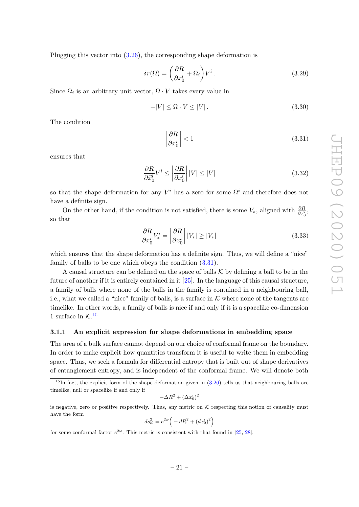Plugging this vector into [\(3.26\)](#page-20-2), the corresponding shape deformation is

$$
\delta r(\Omega) = \left(\frac{\partial R}{\partial x_0^i} + \Omega_i\right) V^i.
$$
\n(3.29)

Since  $\Omega_i$  is an arbitrary unit vector,  $\Omega \cdot V$  takes every value in

$$
-|V| \le \Omega \cdot V \le |V| \,. \tag{3.30}
$$

The condition

<span id="page-21-1"></span>
$$
\left|\frac{\partial R}{\partial x_0^i}\right| < 1\tag{3.31}
$$

ensures that

$$
\frac{\partial R}{\partial \vec{x_0^i}} V^i \le \left| \frac{\partial R}{\partial x_0^i} \right| |V| \le |V| \tag{3.32}
$$

so that the shape deformation for any  $V^i$  has a zero for some  $\Omega^i$  and therefore does not have a definite sign.

On the other hand, if the condition is not satisfied, there is some  $V_*$ , aligned with  $\frac{\partial R}{\partial \vec{x}_0^i}$ , so that

$$
\frac{\partial R}{\partial x_0^i} V_*^i = \left| \frac{\partial R}{\partial x_0^i} \right| |V_*| \ge |V_*| \tag{3.33}
$$

which ensures that the shape deformation has a definite sign. Thus, we will define a "nice" family of balls to be one which obeys the condition [\(3.31\)](#page-21-1).

A causal structure can be defined on the space of balls  $K$  by defining a ball to be in the future of another if it is entirely contained in it [\[25\]](#page-40-11). In the language of this causal structure, a family of balls where none of the balls in the family is contained in a neighbouring ball, i.e., what we called a "nice" family of balls, is a surface in  $K$  where none of the tangents are timelike. In other words, a family of balls is nice if and only if it is a spacelike co-dimension 1 surface in  $\mathcal{K}.^{15}$  $\mathcal{K}.^{15}$  $\mathcal{K}.^{15}$ 

## <span id="page-21-0"></span>3.1.1 An explicit expression for shape deformations in embedding space

The area of a bulk surface cannot depend on our choice of conformal frame on the boundary. In order to make explicit how quantities transform it is useful to write them in embedding space. Thus, we seek a formula for differential entropy that is built out of shape derivatives of entanglement entropy, and is independent of the conformal frame. We will denote both

$$
-\Delta R^2 + (\Delta x_0^i)^2
$$

is negative, zero or positive respectively. Thus, any metric on  $K$  respecting this notion of causality must have the form

$$
ds_{\mathcal{K}}^2 = e^{2\omega} \left( -dR^2 + (dx_0^i)^2 \right)
$$

for some conformal factor  $e^{2\omega}$ . This metric is consistent with that found in [\[25,](#page-40-11) [28\]](#page-41-0).

<span id="page-21-2"></span> $15$ In fact, the explicit form of the shape deformation given in  $(3.26)$  tells us that neighbouring balls are timelike, null or spacelike if and only if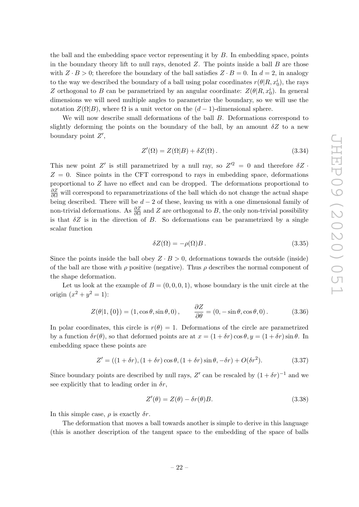the ball and the embedding space vector representing it by  $B$ . In embedding space, points in the boundary theory lift to null rays, denoted  $Z$ . The points inside a ball  $B$  are those with  $Z \cdot B > 0$ ; therefore the boundary of the ball satisfies  $Z \cdot B = 0$ . In  $d = 2$ , in analogy to the way we described the boundary of a ball using polar coordinates  $r(\theta | R, x_0^i)$ , the rays Z orthogonal to B can be parametrized by an angular coordinate:  $Z(\theta | R, x_0^i)$ . In general dimensions we will need multiple angles to parametrize the boundary, so we will use the notation  $Z(\Omega|B)$ , where  $\Omega$  is a unit vector on the  $(d-1)$ -dimensional sphere.

We will now describe small deformations of the ball B. Deformations correspond to slightly deforming the points on the boundary of the ball, by an amount  $\delta Z$  to a new boundary point  $Z'$ ,

$$
Z'(\Omega) = Z(\Omega|B) + \delta Z(\Omega). \tag{3.34}
$$

This new point Z' is still parametrized by a null ray, so  $Z'^2 = 0$  and therefore  $\delta Z$ .  $Z = 0$ . Since points in the CFT correspond to rays in embedding space, deformations proportional to Z have no effect and can be dropped. The deformations proportional to  $\frac{\partial Z}{\partial \Omega}$  will correspond to reparametrizations of the ball which do not change the actual shape being described. There will be  $d-2$  of these, leaving us with a one dimensional family of non-trivial deformations. As  $\frac{\partial Z}{\partial \Omega}$  and Z are orthogonal to B, the only non-trivial possibility is that  $\delta Z$  is in the direction of B. So deformations can be parametrized by a single scalar function

<span id="page-22-0"></span>
$$
\delta Z(\Omega) = -\rho(\Omega)B. \tag{3.35}
$$

Since the points inside the ball obey  $Z \cdot B > 0$ , deformations towards the outside (inside) of the ball are those with  $\rho$  positive (negative). Thus  $\rho$  describes the normal component of the shape deformation.

Let us look at the example of  $B = (0, 0, 0, 1)$ , whose boundary is the unit circle at the origin  $(x^2 + y^2 = 1)$ :

$$
Z(\theta|1,\{0\}) = (1,\cos\theta,\sin\theta,0), \qquad \frac{\partial Z}{\partial \theta} = (0,-\sin\theta,\cos\theta,0). \tag{3.36}
$$

In polar coordinates, this circle is  $r(\theta) = 1$ . Deformations of the circle are parametrized by a function  $\delta r(\theta)$ , so that deformed points are at  $x = (1 + \delta r) \cos \theta$ ,  $y = (1 + \delta r) \sin \theta$ . In embedding space these points are

$$
Z' = ((1 + \delta r), (1 + \delta r) \cos \theta, (1 + \delta r) \sin \theta, -\delta r) + O(\delta r^2). \tag{3.37}
$$

Since boundary points are described by null rays, Z' can be rescaled by  $(1 + \delta r)^{-1}$  and we see explicitly that to leading order in  $\delta r$ ,

$$
Z'(\theta) = Z(\theta) - \delta r(\theta)B.
$$
\n(3.38)

In this simple case,  $\rho$  is exactly  $\delta r$ .

The deformation that moves a ball towards another is simple to derive in this language (this is another description of the tangent space to the embedding of the space of balls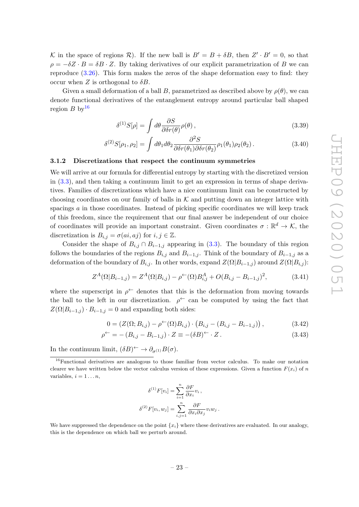K in the space of regions R). If the new ball is  $B' = B + \delta B$ , then  $Z' \cdot B' = 0$ , so that  $\rho = -\delta Z \cdot B = \delta B \cdot Z$ . By taking derivatives of our explicit parametrization of B we can reproduce [\(3.26\)](#page-20-2). This form makes the zeros of the shape deformation easy to find: they occur when Z is orthogonal to  $\delta B$ .

Given a small deformation of a ball B, parametrized as described above by  $\rho(\theta)$ , we can denote functional derivatives of the entanglement entropy around particular ball shaped region B by  $16$ 

<span id="page-23-2"></span>
$$
\delta^{(1)}S[\rho] = \int d\theta \frac{\partial S}{\partial \delta r(\theta)} \rho(\theta) , \qquad (3.39)
$$

$$
\delta^{(2)}S[\rho_1, \rho_2] = \int d\theta_1 d\theta_2 \frac{\partial^2 S}{\partial \delta r(\theta_1) \partial \delta r(\theta_2)} \rho_1(\theta_1) \rho_2(\theta_2). \tag{3.40}
$$

## <span id="page-23-0"></span>3.1.2 Discretizations that respect the continuum symmetries

We will arrive at our formula for differential entropy by starting with the discretized version in [\(3.3\)](#page-15-2), and then taking a continuum limit to get an expression in terms of shape derivatives. Families of discretizations which have a nice continuum limit can be constructed by choosing coordinates on our family of balls in  $K$  and putting down an integer lattice with spacings a in those coordinates. Instead of picking specific coordinates we will keep track of this freedom, since the requirement that our final answer be independent of our choice of coordinates will provide an important constraint. Given coordinates  $\sigma : \mathbb{R}^d \to \mathcal{K}$ , the discretization is  $B_{i,j} = \sigma(ai, aj)$  for  $i, j \in \mathbb{Z}$ .

Consider the shape of  $B_{i,j} \cap B_{i-1,j}$  appearing in [\(3.3\)](#page-15-2). The boundary of this region follows the boundaries of the regions  $B_{i,j}$  and  $B_{i-1,j}$ . Think of the boundary of  $B_{i-1,j}$  as a deformation of the boundary of  $B_{i,j}$ . In other words, expand  $Z(\Omega|B_{i-1,j})$  around  $Z(\Omega|B_{i,j})$ :

$$
Z^{A}(\Omega|B_{i-1,j}) = Z^{A}(\Omega|B_{i,j}) - \rho^{(-}(\Omega)B_{i,j}^{A} + O(B_{i,j} - B_{i-1,j})^{2},
$$
\n(3.41)

where the superscript in  $\rho^{\leftarrow}$  denotes that this is the deformation from moving towards the ball to the left in our discretization.  $\rho^{\leftarrow}$  can be computed by using the fact that  $Z(\Omega|B_{i-1,j}) \cdot B_{i-1,j} = 0$  and expanding both sides:

$$
0 = (Z(\Omega; B_{i,j}) - \rho^{\leftarrow}(\Omega)B_{i,j}) \cdot (B_{i,j} - (B_{i,j} - B_{i-1,j})), \qquad (3.42)
$$

$$
\rho^{\leftarrow} = -\left(B_{i,j} - B_{i-1,j}\right) \cdot Z \equiv -(\delta B)^{\leftarrow} \cdot Z. \tag{3.43}
$$

In the continuum limit,  $(\delta B)^{\leftarrow} \rightarrow \partial_{\sigma^{(1)}} B(\sigma)$ .

$$
\delta^{(1)}F[v_i] = \sum_{i=1}^n \frac{\partial F}{\partial x_i} v_i ,
$$
  

$$
\delta^{(2)}F[v_i, w_j] = \sum_{i,j=1}^n \frac{\partial F}{\partial x_i \partial x_j} v_i w_j .
$$

We have suppressed the dependence on the point  $\{x_i\}$  where these derivatives are evaluated. In our analogy, this is the dependence on which ball we perturb around.

<span id="page-23-1"></span><sup>&</sup>lt;sup>16</sup>Functional derivatives are analogous to those familiar from vector calculus. To make our notation clearer we have written below the vector calculus version of these expressions. Given a function  $F(x_i)$  of n variables,  $i = 1 \ldots n$ ,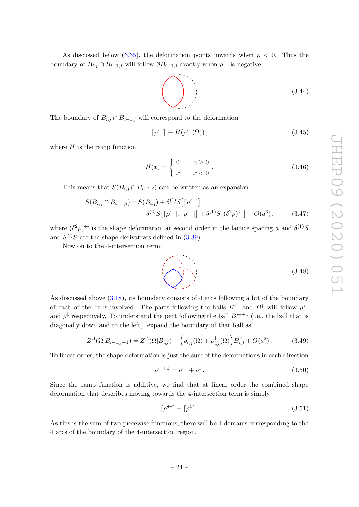<span id="page-24-0"></span>(3.48)

As discussed below [\(3.35\)](#page-22-0), the deformation points inwards when  $\rho < 0$ . Thus the boundary of  $B_{i,j} \cap B_{i-1,j}$  will follow  $\partial B_{i-1,j}$  exactly when  $\rho^{\leftarrow}$  is negative.

<span id="page-24-2"></span>
$$
\begin{pmatrix}\n \ddots \\
\ddots \\
\ddots\n \end{pmatrix}
$$
\n(3.44)

The boundary of  $B_{i,j} \cap B_{i-1,j}$  will correspond to the deformation

<span id="page-24-1"></span>
$$
\lceil \rho^{\leftarrow} \rceil \equiv H(\rho^{\leftarrow}(\Omega)), \tag{3.45}
$$

where  $H$  is the ramp function

$$
H(x) = \begin{cases} 0 & x \ge 0 \\ x & x < 0 \end{cases} . \tag{3.46}
$$

This means that  $S(B_{i,j} \cap B_{i-1,j})$  can be written as an expansion

$$
S(B_{i,j} \cap B_{i-1,j}) = S(B_{i,j}) + \delta^{(1)}S\big[\lceil \rho^{\leftarrow} \rceil\big] + \delta^{(2)}S\big[\lceil \rho^{\leftarrow} \rceil, \lceil \rho^{\leftarrow} \rceil\big] + \delta^{(1)}S\big[(\delta^2 \rho)^{\leftarrow}\big] + O(a^3), \tag{3.47}
$$

where  $(\delta^2 \rho)^{\leftarrow}$  is the shape deformation at second order in the lattice spacing a and  $\delta^{(1)}S$ and  $\delta^{(2)}S$  are the shape derivatives defined in [\(3.39\)](#page-23-2).

Now on to the 4-intersection term:

Z

As discussed above [\(3.18\)](#page-18-2), its boundary consists of 4 arcs following a bit of the boundary of each of the balls involved. The parts following the balls  $B^{\leftarrow}$  and  $B^{\downarrow}$  will follow  $\rho^{\leftarrow}$ and  $\rho^{\downarrow}$  respectively. To understand the part following the ball  $B^{\leftarrow +\downarrow}$  (i.e., the ball that is diagonally down and to the left), expand the boundary of that ball as

$$
Z^{A}(\Omega|B_{i-1,j-1}) = Z^{A}(\Omega|B_{i,j}) - \left(\rho_{i,j}^{\leftarrow}(\Omega) + \rho_{i,j}^{\downarrow}(\Omega)\right)B_{i,j}^{A} + O(a^{2}). \tag{3.49}
$$

To linear order, the shape deformation is just the sum of the deformations in each direction

$$
\rho^{\leftarrow +\downarrow} = \rho^{\leftarrow} + \rho^{\downarrow}.
$$
\n(3.50)

Since the ramp function is additive, we find that at linear order the combined shape deformation that describes moving towards the 4-intersection term is simply

$$
\lceil \rho^{\leftarrow} \rceil + \lceil \rho^{\downarrow} \rceil. \tag{3.51}
$$

As this is the sum of two piecewise functions, there will be 4 domains corresponding to the 4 arcs of the boundary of the 4-intersection region.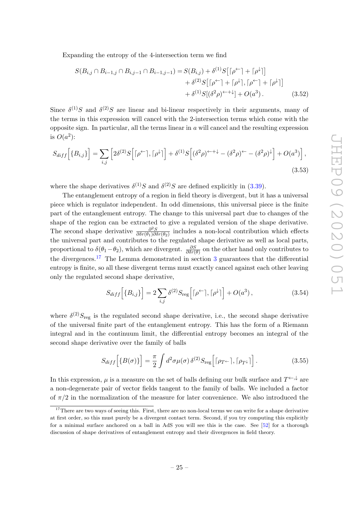Expanding the entropy of the 4-intersection term we find

$$
S(B_{i,j} \cap B_{i-1,j} \cap B_{i,j-1} \cap B_{i-1,j-1}) = S(B_{i,j}) + \delta^{(1)}S\big[\lceil \rho^{\leftarrow} \rceil + \lceil \rho^{\downarrow} \rceil\big] + \delta^{(2)}S\big[\lceil \rho^{\leftarrow} \rceil + \lceil \rho^{\downarrow} \rceil, \lceil \rho^{\leftarrow} \rceil + \lceil \rho^{\downarrow} \rceil\big] + \delta^{(1)}S[(\delta^2 \rho)^{\leftarrow + \downarrow} + O(a^3). \tag{3.52}
$$

Since  $\delta^{(1)}S$  and  $\delta^{(2)}S$  are linear and bi-linear respectively in their arguments, many of the terms in this expression will cancel with the 2-intersection terms which come with the opposite sign. In particular, all the terms linear in  $a$  will cancel and the resulting expression is  $O(a^2)$ :

$$
S_{diff}\left[\{B_{i,j}\}\right] = \sum_{i,j} \left[2\delta^{(2)}S\left[\lceil \rho^{\leftarrow} \rceil, \lceil \rho^{\downarrow} \rceil\right] + \delta^{(1)}S\left[(\delta^2\rho)^{\leftarrow +\downarrow} - (\delta^2\rho)^{\leftarrow} - (\delta^2\rho)^{\downarrow}\right] + O(a^3)\right],\tag{3.53}
$$

where the shape derivatives  $\delta^{(1)}S$  and  $\delta^{(2)}S$  are defined explicitly in [\(3.39\)](#page-23-2).

The entanglement entropy of a region in field theory is divergent, but it has a universal piece which is regulator independent. In odd dimensions, this universal piece is the finite part of the entanglement entropy. The change to this universal part due to changes of the shape of the region can be extracted to give a regulated version of the shape derivative. The second shape derivative  $\frac{\partial^2 S}{\partial \delta x(\theta_1) \partial \theta}$  $\frac{\partial^2 S}{\partial \delta r(\theta_1) \partial \delta r(\theta_2)}$  includes a non-local contribution which effects the universal part and contributes to the regulated shape derivative as well as local parts, proportional to  $\delta(\theta_1-\theta_2)$ , which are divergent.  $\frac{\partial S}{\partial \delta r(\theta)}$  on the other hand only contributes to the divergences.<sup>[17](#page-25-0)</sup> The Lemma demonstrated in section  $3$  guarantees that the differential entropy is finite, so all these divergent terms must exactly cancel against each other leaving only the regulated second shape derivative,

$$
S_{diff} \left[ \{ B_{i,j} \} \right] = 2 \sum_{i,j} \delta^{(2)} S_{\text{reg}} \left[ \lceil \rho^{\leftarrow} \rceil, \lceil \rho^{\downarrow} \rceil \right] + O(a^3) \,, \tag{3.54}
$$

where  $\delta^{(2)}S_{\text{reg}}$  is the regulated second shape derivative, i.e., the second shape derivative of the universal finite part of the entanglement entropy. This has the form of a Riemann integral and in the continuum limit, the differential entropy becomes an integral of the second shape derivative over the family of balls

$$
S_{diff}\left[\{B(\sigma)\}\right] = \frac{\pi}{2} \int d^2 \sigma \mu(\sigma) \,\delta^{(2)} S_{\text{reg}}\left[\lceil \rho_{T} \cdot \rceil, \lceil \rho_{T} \cdot \rceil\right].\tag{3.55}
$$

In this expression,  $\mu$  is a measure on the set of balls defining our bulk surface and  $T^{\leftarrow}$ , are a non-degenerate pair of vector fields tangent to the family of balls. We included a factor of  $\pi/2$  in the normalization of the measure for later convenience. We also introduced the

<span id="page-25-0"></span><sup>&</sup>lt;sup>17</sup>There are two ways of seeing this. First, there are no non-local terms we can write for a shape derivative at first order, so this must purely be a divergent contact term. Second, if you try computing this explicitly for a minimal surface anchored on a ball in AdS you will see this is the case. See [\[52\]](#page-42-3) for a thorough discussion of shape derivatives of entanglement entropy and their divergences in field theory.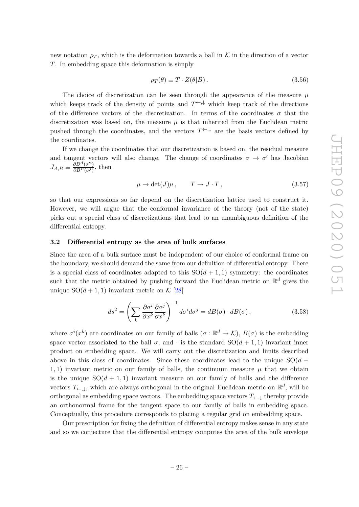new notation  $\rho_T$ , which is the deformation towards a ball in K in the direction of a vector T. In embedding space this deformation is simply

$$
\rho_T(\theta) \equiv T \cdot Z(\theta|B). \tag{3.56}
$$

The choice of discretization can be seen through the appearance of the measure  $\mu$ which keeps track of the density of points and  $T^{\leftarrow,\downarrow}$  which keep track of the directions of the difference vectors of the discretization. In terms of the coordinates  $\sigma$  that the discretization was based on, the measure  $\mu$  is that inherited from the Euclidean metric pushed through the coordinates, and the vectors  $T \rightarrow \star$  are the basis vectors defined by the coordinates.

If we change the coordinates that our discretization is based on, the residual measure and tangent vectors will also change. The change of coordinates  $\sigma \to \sigma'$  has Jacobian  $J_{A,B} \equiv \frac{\bar{\partial}B^{A}(\sigma^{\prime i})}{\partial B^{B}(\sigma^{j})}$  $\frac{\partial B^{(0)}(\sigma)}{\partial B^{(0)}(\sigma)}$ , then

$$
\mu \to \det(J)\mu \,, \qquad T \to J \cdot T \,, \tag{3.57}
$$

so that our expressions so far depend on the discretization lattice used to construct it. However, we will argue that the conformal invariance of the theory (not of the state) picks out a special class of discretizations that lead to an unambiguous definition of the differential entropy.

## <span id="page-26-0"></span>3.2 Differential entropy as the area of bulk surfaces

Since the area of a bulk surface must be independent of our choice of conformal frame on the boundary, we should demand the same from our definition of differential entropy. There is a special class of coordinates adapted to this  $SO(d+1,1)$  symmetry: the coordinates such that the metric obtained by pushing forward the Euclidean metric on  $\mathbb{R}^d$  gives the unique  $SO(d+1,1)$  invariant metric on K [\[28\]](#page-41-0)

$$
ds^{2} = \left(\sum_{k} \frac{\partial \sigma^{i}}{\partial x^{k}} \frac{\partial \sigma^{j}}{\partial x^{k}}\right)^{-1} d\sigma^{i} d\sigma^{j} = dB(\sigma) \cdot dB(\sigma), \qquad (3.58)
$$

where  $\sigma^i(x^k)$  are coordinates on our family of balls  $(\sigma : \mathbb{R}^d \to \mathcal{K}), B(\sigma)$  is the embedding space vector associated to the ball  $\sigma$ , and  $\cdot$  is the standard  $SO(d+1,1)$  invariant inner product on embedding space. We will carry out the discretization and limits described above in this class of coordinates. Since these coordinates lead to the unique  $SO(d +$ 1, 1) invariant metric on our family of balls, the continuum measure  $\mu$  that we obtain is the unique  $SO(d + 1, 1)$  invariant measure on our family of balls and the difference vectors  $T_{\leftarrow,\downarrow}$ , which are always orthogonal in the original Euclidean metric on  $\mathbb{R}^d$ , will be orthogonal as embedding space vectors. The embedding space vectors  $T_{\leftarrow}$ , thereby provide an orthonormal frame for the tangent space to our family of balls in embedding space. Conceptually, this procedure corresponds to placing a regular grid on embedding space.

Our prescription for fixing the definition of differential entropy makes sense in any state and so we conjecture that the differential entropy computes the area of the bulk envelope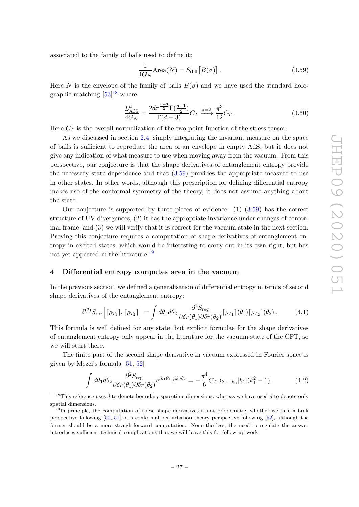associated to the family of balls used to define it:

<span id="page-27-4"></span><span id="page-27-2"></span>
$$
\frac{1}{4G_N}\text{Area}(N) = S_{\text{diff}}\left[B(\sigma)\right].\tag{3.59}
$$

Here N is the envelope of the family of balls  $B(\sigma)$  and we have used the standard holographic matching  $[53]^{18}$  $[53]^{18}$  $[53]^{18}$  where

$$
\frac{L_{\text{AdS}}^d}{4G_N} = \frac{2d\pi^{\frac{d+3}{2}}\Gamma(\frac{d+1}{2})}{\Gamma(d+3)} C_T \xrightarrow{d=2} \frac{\pi^3}{12} C_T. \tag{3.60}
$$

Here  $C_T$  is the overall normalization of the two-point function of the stress tensor.

As we discussed in section [2.4,](#page-13-0) simply integrating the invariant measure on the space of balls is sufficient to reproduce the area of an envelope in empty AdS, but it does not give any indication of what measure to use when moving away from the vacuum. From this perspective, our conjecture is that the shape derivatives of entanglement entropy provide the necessary state dependence and that [\(3.59\)](#page-27-2) provides the appropriate measure to use in other states. In other words, although this prescription for defining differential entropy makes use of the conformal symmetry of the theory, it does not assume anything about the state.

Our conjecture is supported by three pieces of evidence:  $(1)$   $(3.59)$  has the correct structure of UV divergences, (2) it has the appropriate invariance under changes of conformal frame, and (3) we will verify that it is correct for the vacuum state in the next section. Proving this conjecture requires a computation of shape derivatives of entanglement entropy in excited states, which would be interesting to carry out in its own right, but has not yet appeared in the literature.<sup>[19](#page-27-3)</sup>

#### <span id="page-27-0"></span>4 Differential entropy computes area in the vacuum

In the previous section, we defined a generalisation of differential entropy in terms of second shape derivatives of the entanglement entropy:

$$
\delta^{(2)}S_{\text{reg}}\Big[\lceil \rho_{T_1}\rceil, \lceil \rho_{T_2}\rceil\Big] = \int d\theta_1 d\theta_2 \, \frac{\partial^2 S_{\text{reg}}}{\partial \delta r(\theta_1) \partial \delta r(\theta_2)} \lceil \rho_{T_1}\rceil(\theta_1) \lceil \rho_{T_2}\rceil(\theta_2). \tag{4.1}
$$

This formula is well defined for any state, but explicit formulae for the shape derivatives of entanglement entropy only appear in the literature for the vacuum state of the CFT, so we will start there.

The finite part of the second shape derivative in vacuum expressed in Fourier space is given by Mezei's formula [\[51,](#page-42-5) [52\]](#page-42-3)

$$
\int d\theta_1 d\theta_2 \frac{\partial^2 S_{\text{reg}}}{\partial \delta r(\theta_1) \partial \delta r(\theta_2)} e^{ik_1\theta_1} e^{ik_2\theta_2} = -\frac{\pi^4}{6} C_T \delta_{k_1,-k_2} |k_1| (k_1^2 - 1). \tag{4.2}
$$

<span id="page-27-1"></span><sup>&</sup>lt;sup>18</sup>This reference uses  $d$  to denote boundary spacetime dimensions, whereas we have used  $d$  to denote only spatial dimensions.

<span id="page-27-3"></span> $19$ In principle, the computation of these shape derivatives is not problematic, whether we take a bulk perspective following [\[50,](#page-42-2) [51\]](#page-42-5) or a conformal perturbation theory perspective following [\[52\]](#page-42-3), although the former should be a more straightforward computation. None the less, the need to regulate the answer introduces sufficient technical complications that we will leave this for follow up work.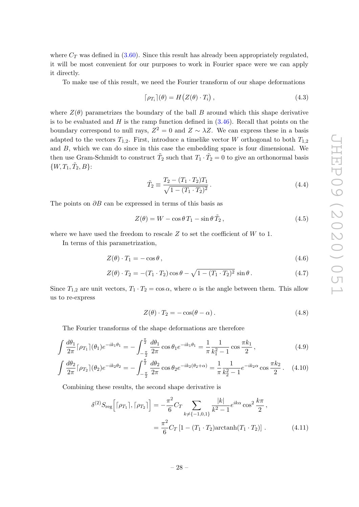where  $C_T$  was defined in [\(3.60\)](#page-27-4). Since this result has already been appropriately regulated, it will be most convenient for our purposes to work in Fourier space were we can apply it directly.

To make use of this result, we need the Fourier transform of our shape deformations

$$
\lceil \rho_{T_i} \rceil(\theta) = H\big(Z(\theta) \cdot T_i\big),\tag{4.3}
$$

where  $Z(\theta)$  parametrizes the boundary of the ball B around which this shape derivative is to be evaluated and  $H$  is the ramp function defined in  $(3.46)$ . Recall that points on the boundary correspond to null rays,  $Z^2 = 0$  and  $Z \sim \lambda Z$ . We can express these in a basis adapted to the vectors  $T_{1,2}$ . First, introduce a timelike vector W orthogonal to both  $T_{1,2}$ and B, which we can do since in this case the embedding space is four dimensional. We then use Gram-Schmidt to construct  $\tilde{T}_2$  such that  $T_1 \cdot \tilde{T}_2 = 0$  to give an orthonormal basis  $\{W, T_1, \tilde{T}_2, B\}$ :

$$
\tilde{T}_2 \equiv \frac{T_2 - (T_1 \cdot T_2) T_1}{\sqrt{1 - (T_1 \cdot T_2)^2}}.
$$
\n(4.4)

The points on  $\partial B$  can be expressed in terms of this basis as

$$
Z(\theta) = W - \cos \theta T_1 - \sin \theta \tilde{T}_2, \qquad (4.5)
$$

where we have used the freedom to rescale  $Z$  to set the coefficient of  $W$  to 1.

In terms of this parametrization,

$$
Z(\theta) \cdot T_1 = -\cos \theta \,,\tag{4.6}
$$

$$
Z(\theta) \cdot T_2 = -(T_1 \cdot T_2) \cos \theta - \sqrt{1 - (T_1 \cdot T_2)^2} \sin \theta.
$$
 (4.7)

Since  $T_{1,2}$  are unit vectors,  $T_1 \cdot T_2 = \cos \alpha$ , where  $\alpha$  is the angle between them. This allow us to re-express

<span id="page-28-0"></span>
$$
Z(\theta) \cdot T_2 = -\cos(\theta - \alpha). \tag{4.8}
$$

The Fourier transforms of the shape deformations are therefore

$$
\int \frac{d\theta_1}{2\pi} \lceil \rho_{T_1} \rceil (\theta_1) e^{-ik_1 \theta_1} = -\int_{-\frac{\pi}{2}}^{\frac{\pi}{2}} \frac{d\theta_1}{2\pi} \cos \theta_1 e^{-ik_1 \theta_1} = \frac{1}{\pi} \frac{1}{k_1^2 - 1} \cos \frac{\pi k_1}{2},\tag{4.9}
$$

$$
\int \frac{d\theta_2}{2\pi} \lceil \rho_{T_2} \rceil (\theta_2) e^{-ik_2 \theta_2} = -\int_{-\frac{\pi}{2}}^{\frac{\pi}{2}} \frac{d\theta_2}{2\pi} \cos \theta_2 e^{-ik_2(\theta_2 + \alpha)} = \frac{1}{\pi} \frac{1}{k_2^2 - 1} e^{-ik_2 \alpha} \cos \frac{\pi k_2}{2}.
$$
 (4.10)

Combining these results, the second shape derivative is

$$
\delta^{(2)} S_{\text{reg}} \Big[ [\rho_{T_1}], [\rho_{T_2}] \Big] = -\frac{\pi^2}{6} C_T \sum_{k \neq \{-1, 0, 1\}} \frac{|k|}{k^2 - 1} e^{ik\alpha} \cos^2 \frac{k\pi}{2},
$$
  
= 
$$
\frac{\pi^2}{6} C_T \left[ 1 - (T_1 \cdot T_2) \arctanh(T_1 \cdot T_2) \right].
$$
 (4.11)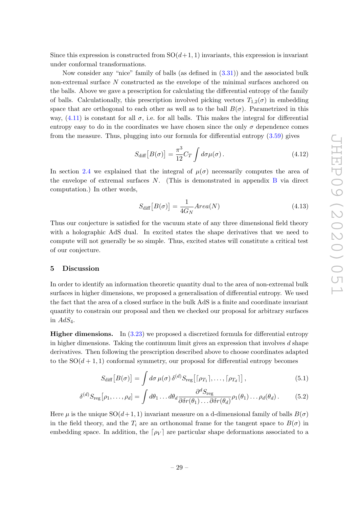Since this expression is constructed from  $SO(d+1, 1)$  invariants, this expression is invariant under conformal transformations.

Now consider any "nice" family of balls (as defined in [\(3.31\)](#page-21-1)) and the associated bulk non-extremal surface N constructed as the envelope of the minimal surfaces anchored on the balls. Above we gave a prescription for calculating the differential entropy of the family of balls. Calculationally, this prescription involved picking vectors  $T_{1,2}(\sigma)$  in embedding space that are orthogonal to each other as well as to the ball  $B(\sigma)$ . Parametrized in this way,  $(4.11)$  is constant for all  $\sigma$ , i.e. for all balls. This makes the integral for differential entropy easy to do in the coordinates we have chosen since the only  $\sigma$  dependence comes from the measure. Thus, plugging into our formula for differential entropy [\(3.59\)](#page-27-2) gives

$$
S_{\text{diff}}[B(\sigma)] = \frac{\pi^3}{12} C_T \int d\sigma \mu(\sigma). \qquad (4.12)
$$

In section [2.4](#page-13-0) we explained that the integral of  $\mu(\sigma)$  necessarily computes the area of the envelope of extremal surfaces  $N$ . (This is demonstrated in appendix  $B$  via direct computation.) In other words,

$$
S_{\text{diff}}\left[B(\sigma)\right] = \frac{1}{4G_N} \text{Area}(N) \tag{4.13}
$$

Thus our conjecture is satisfied for the vacuum state of any three dimensional field theory with a holographic AdS dual. In excited states the shape derivatives that we need to compute will not generally be so simple. Thus, excited states will constitute a critical test of our conjecture.

## <span id="page-29-0"></span>5 Discussion

In order to identify an information theoretic quantity dual to the area of non-extremal bulk surfaces in higher dimensions, we proposed a generalisation of differential entropy. We used the fact that the area of a closed surface in the bulk AdS is a finite and coordinate invariant quantity to constrain our proposal and then we checked our proposal for arbitrary surfaces in  $AdS_4$ .

Higher dimensions. In [\(3.23\)](#page-19-1) we proposed a discretized formula for differential entropy in higher dimensions. Taking the continuum limit gives an expression that involves d shape derivatives. Then following the prescription described above to choose coordinates adapted to the  $SO(d+1,1)$  conformal symmetry, our proposal for differential entropy becomes

$$
S_{\text{diff}}[B(\sigma)] = \int d\sigma \,\mu(\sigma) \,\delta^{(d)} S_{\text{reg}}[\lceil \rho_{T_1} \rceil, \dots, \lceil \rho_{T_d} \rceil], \tag{5.1}
$$

$$
\delta^{(d)}S_{\text{reg}}[\rho_1,\ldots,\rho_d] = \int d\theta_1 \ldots d\theta_d \frac{\partial^d S_{\text{reg}}}{\partial \delta r(\theta_1)\ldots \partial \delta r(\theta_d)} \rho_1(\theta_1)\ldots \rho_d(\theta_d). \tag{5.2}
$$

Here  $\mu$  is the unique  $SO(d+1, 1)$  invariant measure on a d-dimensional family of balls  $B(\sigma)$ in the field theory, and the  $T_i$  are an orthonomal frame for the tangent space to  $B(\sigma)$  in embedding space. In addition, the  $\lceil \rho_V \rceil$  are particular shape deformations associated to a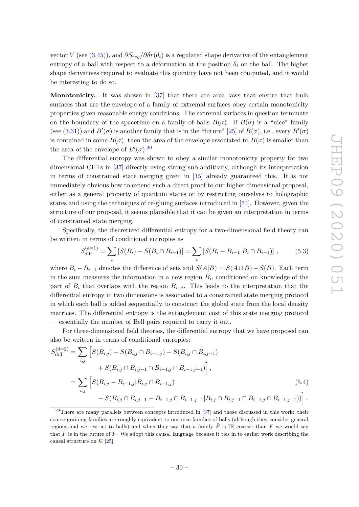vector V (see [\(3.45\)](#page-24-1)), and  $\partial S_{req}/\partial \delta r(\theta_i)$  is a regulated shape derivative of the entanglement entropy of a ball with respect to a deformation at the position  $\theta_i$  on the ball. The higher shape derivatives required to evaluate this quantity have not been computed, and it would be interesting to do so.

Monotonicity. It was shown in [\[37\]](#page-41-9) that there are area laws that ensure that bulk surfaces that are the envelope of a family of extremal surfaces obey certain monotonicity properties given reasonable energy conditions. The extremal surfaces in question terminate on the boundary of the spacetime on a family of balls  $B(\sigma)$ . If  $B(\sigma)$  is a "nice" family (see [\(3.31\)](#page-21-1)) and  $B'(\sigma)$  is another family that is in the "future" [\[25\]](#page-40-11) of  $B(\sigma)$ , i.e., every  $B'(\sigma)$ is contained in some  $B(\sigma)$ , then the area of the envelope associated to  $B(\sigma)$  is smaller than the area of the envelope of  $B'(\sigma)$ .<sup>[20](#page-30-0)</sup>

The differential entropy was shown to obey a similar monotonicity property for two dimensional CFTs in [\[37\]](#page-41-9) directly using strong sub-additivity, although its interpretation in terms of constrained state merging given in [\[15\]](#page-40-4) already guaranteed this. It is not immediately obvious how to extend such a direct proof to our higher dimensional proposal, either as a general property of quantum states or by restricting ourselves to holographic states and using the techniques of re-gluing surfaces introduced in [\[54\]](#page-42-6). However, given the structure of our proposal, it seems plausible that it can be given an interpretation in terms of constrained state merging.

Specifically, the discretized differential entropy for a two-dimensional field theory can be written in terms of conditional entropies as

$$
S_{\text{diff}}^{(d=1)} = \sum_{i} \left[ S(B_i) - S(B_i \cap B_{i-1}) \right] = \sum_{i} \left[ S(B_i - B_{i-1} | B_i \cap B_{i-1}) \right],\tag{5.3}
$$

where  $B_i - B_{i-1}$  denotes the difference of sets and  $S(A|B) = S(A \cup B) - S(B)$ . Each term in the sum measures the information in a new region  $B_i$ , conditioned on knowledge of the part of  $B_i$  that overlaps with the region  $B_{i-i}$ . This leads to the interpretation that the differential entropy in two dimensions is associated to a constrained state merging protocol in which each ball is added sequentially to construct the global state from the local density matrices. The differential entropy is the entanglement cost of this state merging protocol — essentially the number of Bell pairs required to carry it out.

For three-dimensional field theories, the differential entropy that we have proposed can also be written in terms of conditional entropies:

$$
S_{\text{diff}}^{(d=2)} = \sum_{i,j} \left[ S(B_{i,j}) - S(B_{i,j} \cap B_{i-1,j}) - S(B_{i,j} \cap B_{i,j-1}) + S(B_{i,j} \cap B_{i,j-1} \cap B_{i-1,j} \cap B_{i-1,j} \cap B_{i-1,j-1}) \right],
$$
  
= 
$$
\sum_{i,j} \left[ S(B_{i,j} - B_{i-1,j} | B_{i,j} \cap B_{i-1,j}) - S(B_{i,j-1} \cap B_{i-1,j-1} | B_{i,j} \cap B_{i-1,j-1} \cap B_{i-1,j-1}) ) \right].
$$
  
(5.4)

<span id="page-30-0"></span><sup>&</sup>lt;sup>20</sup>There are many parallels between concepts introduced in  $[37]$  and those discussed in this work: their coarse-graining families are roughly equivalent to our nice families of balls (although they consider general regions and we restrict to balls) and when they say that a family  $\tilde{F}$  is IR coarser than F we would say that  $\tilde{F}$  is in the future of F. We adopt this causal language because it ties in to earlier work describing the causal structure on  $K$  [\[25\]](#page-40-11).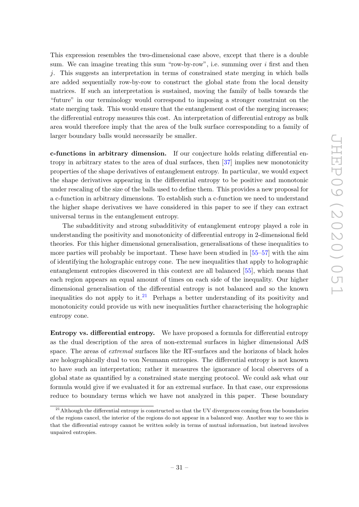This expression resembles the two-dimensional case above, except that there is a double sum. We can imagine treating this sum "row-by-row", i.e. summing over  $i$  first and then j. This suggests an interpretation in terms of constrained state merging in which balls are added sequentially row-by-row to construct the global state from the local density matrices. If such an interpretation is sustained, moving the family of balls towards the "future" in our terminology would correspond to imposing a stronger constraint on the state merging task. This would ensure that the entanglement cost of the merging increases; the differential entropy measures this cost. An interpretation of differential entropy as bulk area would therefore imply that the area of the bulk surface corresponding to a family of larger boundary balls would necessarily be smaller.

c-functions in arbitrary dimension. If our conjecture holds relating differential entropy in arbitrary states to the area of dual surfaces, then [\[37\]](#page-41-9) implies new monotonicity properties of the shape derivatives of entanglement entropy. In particular, we would expect the shape derivatives appearing in the differential entropy to be positive and monotonic under rescaling of the size of the balls used to define them. This provides a new proposal for a c-function in arbitrary dimensions. To establish such a c-function we need to understand the higher shape derivatives we have considered in this paper to see if they can extract universal terms in the entanglement entropy.

The subadditivity and strong subadditivity of entanglement entropy played a role in understanding the positivity and monotonicity of differential entropy in 2-dimensional field theories. For this higher dimensional generalisation, generalisations of these inequalities to more parties will probably be important. These have been studied in [\[55](#page-42-7)[–57\]](#page-42-8) with the aim of identifying the holographic entropy cone. The new inequalities that apply to holographic entanglement entropies discovered in this context are all balanced [\[55\]](#page-42-7), which means that each region appears an equal amount of times on each side of the inequality. Our higher dimensional generalisation of the differential entropy is not balanced and so the known inequalities do not apply to it.<sup>[21](#page-31-0)</sup> Perhaps a better understanding of its positivity and monotonicity could provide us with new inequalities further characterising the holographic entropy cone.

Entropy vs. differential entropy. We have proposed a formula for differential entropy as the dual description of the area of non-extremal surfaces in higher dimensional AdS space. The areas of *extremal* surfaces like the RT-surfaces and the horizons of black holes are holographically dual to von Neumann entropies. The differential entropy is not known to have such an interpretation; rather it measures the ignorance of local observers of a global state as quantified by a constrained state merging protocol. We could ask what our formula would give if we evaluated it for an extremal surface. In that case, our expressions reduce to boundary terms which we have not analyzed in this paper. These boundary

<span id="page-31-0"></span> $21$ Although the differential entropy is constructed so that the UV divergences coming from the boundaries of the regions cancel, the interior of the regions do not appear in a balanced way. Another way to see this is that the differential entropy cannot be written solely in terms of mutual information, but instead involves unpaired entropies.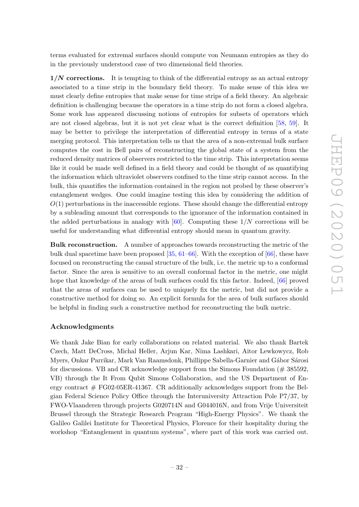terms evaluated for extremal surfaces should compute von Neumann entropies as they do in the previously understood case of two dimensional field theories.

 $1/N$  corrections. It is tempting to think of the differential entropy as an actual entropy associated to a time strip in the boundary field theory. To make sense of this idea we must clearly define entropies that make sense for time strips of a field theory. An algebraic definition is challenging because the operators in a time strip do not form a closed algebra. Some work has appeared discussing notions of entropies for subsets of operators which are not closed algebras, but it is not yet clear what is the correct definition [\[58,](#page-42-9) [59\]](#page-42-10). It may be better to privilege the interpretation of differential entropy in terms of a state merging protocol. This interpretation tells us that the area of a non-extremal bulk surface computes the cost in Bell pairs of reconstructing the global state of a system from the reduced density matrices of observers restricted to the time strip. This interpretation seems like it could be made well defined in a field theory and could be thought of as quantifying the information which ultraviolet observers confined to the time strip cannot access. In the bulk, this quantifies the information contained in the region not probed by these observer's entanglement wedges. One could imagine testing this idea by considering the addition of  $O(1)$  perturbations in the inaccessible regions. These should change the differential entropy by a subleading amount that corresponds to the ignorance of the information contained in the added perturbations in analogy with  $[60]$ . Computing these  $1/N$  corrections will be useful for understanding what differential entropy should mean in quantum gravity.

Bulk reconstruction. A number of approaches towards reconstructing the metric of the bulk dual spacetime have been proposed [\[35,](#page-41-7) [61–](#page-42-12)[66\]](#page-43-0). With the exception of [\[66\]](#page-43-0), these have focused on reconstructing the causal structure of the bulk, i.e. the metric up to a conformal factor. Since the area is sensitive to an overall conformal factor in the metric, one might hope that knowledge of the areas of bulk surfaces could fix this factor. Indeed, [\[66\]](#page-43-0) proved that the areas of surfaces can be used to uniquely fix the metric, but did not provide a constructive method for doing so. An explicit formula for the area of bulk surfaces should be helpful in finding such a constructive method for reconstructing the bulk metric.

## Acknowledgments

We thank Jake Bian for early collaborations on related material. We also thank Bartek Czech, Matt DeCross, Michal Heller, Arjun Kar, Nima Lashkari, Aitor Lewkowycz, Rob Myers, Onkar Parrikar, Mark Van Raamsdonk, Phillippe Sabella-Garnier and Gábor Sárosi for discussions. VB and CR acknowledge support from the Simons Foundation ( $\#$  385592, VB) through the It From Qubit Simons Collaboration, and the US Department of Energy contract  $\#$  FG02-05ER-41367. CR additionally acknowledges support from the Belgian Federal Science Policy Office through the Interuniversity Attraction Pole P7/37, by FWO-Vlaanderen through projects G020714N and G044016N, and from Vrije Universiteit Brussel through the Strategic Research Program "High-Energy Physics". We thank the Galileo Galilei Institute for Theoretical Physics, Florence for their hospitality during the workshop "Entanglement in quantum systems", where part of this work was carried out.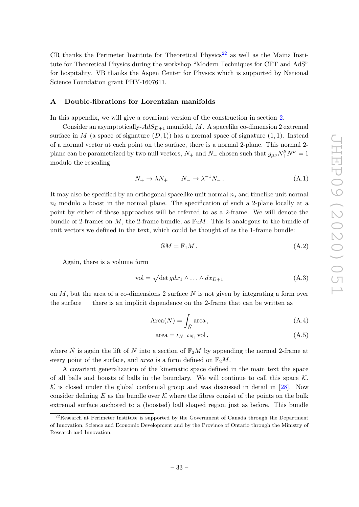CR thanks the Perimeter Institute for Theoretical Physics<sup>[22](#page-33-1)</sup> as well as the Mainz Institute for Theoretical Physics during the workshop "Modern Techniques for CFT and AdS" for hospitality. VB thanks the Aspen Center for Physics which is supported by National Science Foundation grant PHY-1607611.

## <span id="page-33-0"></span>A Double-fibrations for Lorentzian manifolds

In this appendix, we will give a covariant version of the construction in section [2.](#page-3-0)

Consider an asymptotically- $AdS_{D+1}$  manifold, M. A spacelike co-dimension 2 extremal surface in M (a space of signature  $(D, 1)$ ) has a normal space of signature  $(1, 1)$ . Instead of a normal vector at each point on the surface, there is a normal 2-plane. This normal 2 plane can be parametrized by two null vectors,  $N_+$  and  $N_-$  chosen such that  $g_{\mu\nu}N_+^{\mu}N_-^{\nu} = 1$ modulo the rescaling

$$
N_+ \to \lambda N_+ \qquad N_- \to \lambda^{-1} N_- \,. \tag{A.1}
$$

It may also be specified by an orthogonal spacelike unit normal  $n_s$  and timelike unit normal  $n_t$  modulo a boost in the normal plane. The specification of such a 2-plane locally at a point by either of these approaches will be referred to as a 2-frame. We will denote the bundle of 2-frames on M, the 2-frame bundle, as  $\mathbb{F}_2M$ . This is analogous to the bundle of unit vectors we defined in the text, which could be thought of as the 1-frame bundle:

$$
\mathbb{S}M = \mathbb{F}_1 M. \tag{A.2}
$$

Again, there is a volume form

$$
vol = \sqrt{\det g} dx_1 \wedge \ldots \wedge dx_{D+1}
$$
 (A.3)

on  $M$ , but the area of a co-dimensions 2 surface  $N$  is not given by integrating a form over the surface — there is an implicit dependence on the 2-frame that can be written as

$$
Area(N) = \int_{\tilde{N}} area, \qquad (A.4)
$$

<span id="page-33-2"></span>
$$
area = \iota_{N_-} \iota_{N_+} vol, \qquad (A.5)
$$

where  $\tilde{N}$  is again the lift of N into a section of  $\mathbb{F}_2M$  by appending the normal 2-frame at every point of the surface, and *area* is a form defined on  $\mathbb{F}_2M$ .

A covariant generalization of the kinematic space defined in the main text the space of all balls and boosts of balls in the boundary. We will continue to call this space  $K$ .  $K$  is closed under the global conformal group and was discussed in detail in [\[28\]](#page-41-0). Now consider defining E as the bundle over K where the fibres consist of the points on the bulk extremal surface anchored to a (boosted) ball shaped region just as before. This bundle

<span id="page-33-1"></span><sup>&</sup>lt;sup>22</sup>Research at Perimeter Institute is supported by the Government of Canada through the Department of Innovation, Science and Economic Development and by the Province of Ontario through the Ministry of Research and Innovation.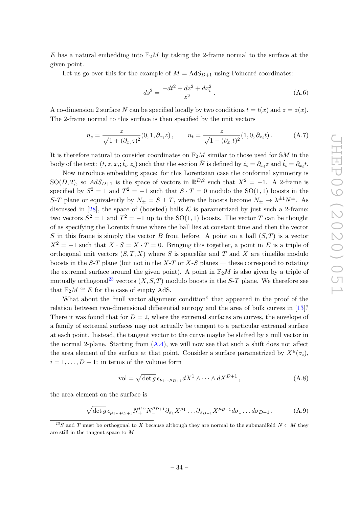E has a natural embedding into  $\mathbb{F}_2M$  by taking the 2-frame normal to the surface at the given point.

Let us go over this for the example of  $M = AdS_{D+1}$  using Poincaré coordinates:

$$
ds^2 = \frac{-dt^2 + dz^2 + dx_i^2}{z^2} \,. \tag{A.6}
$$

A co-dimension 2 surface N can be specified locally by two conditions  $t = t(x)$  and  $z = z(x)$ . The 2-frame normal to this surface is then specified by the unit vectors

$$
n_s = \frac{z}{\sqrt{1 + (\partial_{x_i} z)^2}} (0, 1, \partial_{x_i} z), \qquad n_t = \frac{z}{\sqrt{1 - (\partial_{x_i} t)^2}} (1, 0, \partial_{x_i} t).
$$
 (A.7)

It is therefore natural to consider coordinates on  $\mathbb{F}_2M$  similar to those used for SM in the body of the text:  $(t, z, x_i; \dot{t}_i, \dot{z}_i)$  such that the section  $\tilde{N}$  is defined by  $\dot{z}_i = \partial_{x_i} z$  and  $\dot{t}_i = \partial_{x_i} t$ .

Now introduce embedding space: for this Lorentzian case the conformal symmetry is SO(D, 2), so  $AdS_{D+1}$  is the space of vectors in  $\mathbb{R}^{D,2}$  such that  $X^2 = -1$ . A 2-frame is specified by  $S^2 = 1$  and  $T^2 = -1$  such that  $S \cdot T = 0$  modulo the SO(1,1) boosts in the S-T plane or equivalently by  $N_{\pm} = S \pm T$ , where the boosts become  $N_{\pm} \to \lambda^{\pm 1} N^{\pm}$ . As discussed in [\[28\]](#page-41-0), the space of (boosted) balls  $K$  is parametrized by just such a 2-frame: two vectors  $S^2 = 1$  and  $T^2 = -1$  up to the SO(1,1) boosts. The vector T can be thought of as specifying the Lorentz frame where the ball lies at constant time and then the vector S in this frame is simply the vector B from before. A point on a ball  $(S, T)$  is a vector  $X^2 = -1$  such that  $X \cdot S = X \cdot T = 0$ . Bringing this together, a point in E is a triple of orthogonal unit vectors  $(S, T, X)$  where S is spacelike and T and X are timelike modulo boosts in the S-T plane (but not in the X-T or X-S planes — these correspond to rotating the extremal surface around the given point). A point in  $\mathbb{F}_2M$  is also given by a triple of mutually orthogonal<sup>[23](#page-34-0)</sup> vectors  $(X, S, T)$  modulo boosts in the S-T plane. We therefore see that  $\mathbb{F}_2M \cong E$  for the case of empty AdS.

What about the "null vector alignment condition" that appeared in the proof of the relation between two-dimensional differential entropy and the area of bulk curves in [\[13\]](#page-40-14)? There it was found that for  $D = 2$ , where the extremal surfaces are curves, the envelope of a family of extremal surfaces may not actually be tangent to a particular extremal surface at each point. Instead, the tangent vector to the curve maybe be shifted by a null vector in the normal 2-plane. Starting from  $(A.4)$ , we will now see that such a shift does not affect the area element of the surface at that point. Consider a surface parametrized by  $X^{\mu}(\sigma_i)$ ,  $i = 1, \ldots, D - 1$ : in terms of the volume form

$$
\text{vol} = \sqrt{\det g} \,\epsilon_{\mu_1...\mu_{D+1}} dX^1 \wedge \dots \wedge dX^{D+1} \,,\tag{A.8}
$$

the area element on the surface is

$$
\sqrt{\det g} \epsilon_{\mu_1...\mu_{D+1}} N_+^{\mu_D} N_-^{\mu_{D+1}} \partial_{\sigma_1} X^{\mu_1} \dots \partial_{\sigma_{D-1}} X^{\mu_{D-1}} d\sigma_1 \dots d\sigma_{D-1}.
$$
 (A.9)

<span id="page-34-0"></span><sup>&</sup>lt;sup>23</sup>S and T must be orthogonal to X because although they are normal to the submanifold  $N \subset M$  they are still in the tangent space to M.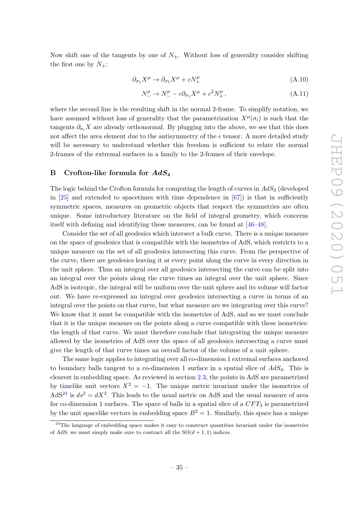Now shift one of the tangents by one of  $N_{\pm}$ . Without loss of generality consider shifting the first one by  $N_{+}$ :

$$
\partial_{\sigma_1} X^{\mu} \to \partial_{\sigma_1} X^{\mu} + c N^{\mu}_+ \tag{A.10}
$$

$$
N_{-}^{\mu} \to N_{-}^{\mu} - c\partial_{\sigma_1}X^{\mu} + c^2N_{+}^{\mu}, \tag{A.11}
$$

where the second line is the resulting shift in the normal 2-frame. To simplify notation, we have assumed without loss of generality that the parametrization  $X^{\mu}(\sigma_i)$  is such that the tangents  $\partial_{\sigma_i} X$  are already orthonormal. By plugging into the above, we see that this does not affect the area element due to the antisymmetry of the  $\epsilon$  tensor. A more detailed study will be necessary to understand whether this freedom is sufficient to relate the normal 2-frames of the extremal surfaces in a family to the 2-frames of their envelope.

## <span id="page-35-0"></span>B Crofton-like formula for  $AdS_4$

The logic behind the Crofton formula for computing the length of curves in  $AdS_3$  (developed in  $[25]$  and extended to spacetimes with time dependence in  $[67]$ ) is that in sufficiently symmetric spaces, measures on geometric objects that respect the symmetries are often unique. Some introductory literature on the field of integral geometry, which concerns itself with defining and identifying these measures, can be found at [\[46](#page-41-17)[–48\]](#page-42-0).

Consider the set of all geodesics which intersect a bulk curve. There is a unique measure on the space of geodesics that is compatible with the isometries of AdS, which restricts to a unique measure on the set of all geodesics intersecting this curve. From the perspective of the curve, there are geodesics leaving it at every point along the curve in every direction in the unit sphere. Thus an integral over all geodesics intersecting the curve can be split into an integral over the points along the curve times an integral over the unit sphere. Since AdS is isotropic, the integral will be uniform over the unit sphere and its volume will factor out. We have re-expressed an integral over geodesics intersecting a curve in terms of an integral over the points on that curve, but what measure are we integrating over this curve? We know that it must be compatible with the isometries of AdS, and so we must conclude that it is the unique measure on the points along a curve compatible with these isometries: the length of that curve. We must therefore conclude that integrating the unique measure allowed by the isometries of AdS over the space of all geodesics intersecting a curve must give the length of that curve times an overall factor of the volume of a unit sphere.

The same logic applies to integrating over all co-dimension 1 extremal surfaces anchored to boundary balls tangent to a co-dimension 1 surface in a spatial slice of  $AdS_4$ . This is clearest in embedding space. As reviewed in section [2.3,](#page-11-0) the points in AdS are parametrized by timelike unit vectors  $X^2 = -1$ . The unique metric invariant under the isometries of  $AdS^{24}$  $AdS^{24}$  $AdS^{24}$  is  $ds^2 = dX^2$ . This leads to the usual metric on AdS and the usual measure of area for co-dimension 1 surfaces. The space of balls in a spatial slice of a  $CFT_3$  is parametrized by the unit spacelike vectors in embedding space  $B^2 = 1$ . Similarly, this space has a unique

<span id="page-35-1"></span> $24$ The language of embedding space makes it easy to construct quantities invariant under the isometries of AdS; we must simply make sure to contract all the  $SO(d+1,1)$  indices.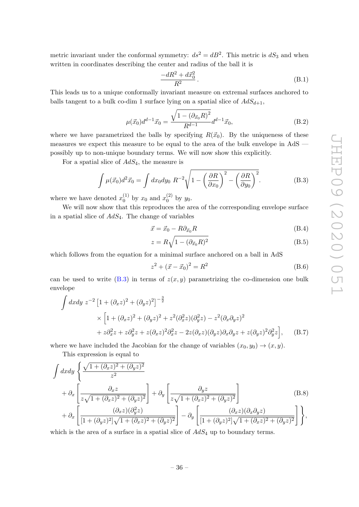metric invariant under the conformal symmetry:  $ds^2 = dB^2$ . This metric is  $dS_3$  and when written in coordinates describing the center and radius of the ball it is

$$
\frac{-dR^2 + d\vec{x}_0^2}{R^2} \,. \tag{B.1}
$$

This leads us to a unique conformally invariant measure on extremal surfaces anchored to balls tangent to a bulk co-dim 1 surface lying on a spatial slice of  $AdS_{d+1}$ ,

$$
\mu(\vec{x}_0)d^{d-1}\vec{x}_0 = \frac{\sqrt{1 - (\partial_{\vec{x}_0}R)^2}}{R^{d-1}}d^{d-1}\vec{x}_0,
$$
\n(B.2)

where we have parametrized the balls by specifying  $R(\vec{x}_0)$ . By the uniqueness of these measures we expect this measure to be equal to the area of the bulk envelope in AdS possibly up to non-unique boundary terms. We will now show this explicitly.

For a spatial slice of  $AdS_4$ , the measure is

$$
\int \mu(\vec{x}_0) d^2 \vec{x}_0 = \int dx_0 dy_0 R^{-2} \sqrt{1 - \left(\frac{\partial R}{\partial x_0}\right)^2 - \left(\frac{\partial R}{\partial y_0}\right)^2}.
$$
 (B.3)

where we have denoted  $x_0^{(1)}$  $_{0}^{(1)}$  by  $x_0$  and  $x_0^{(2)}$  $y_0^{(2)}$  by  $y_0$ .

We will now show that this reproduces the area of the corresponding envelope surface in a spatial slice of  $AdS_4$ . The change of variables

<span id="page-36-0"></span>
$$
\vec{x} = \vec{x}_0 - R\partial_{\vec{x}_0}R\tag{B.4}
$$

$$
z = R\sqrt{1 - (\partial_{\vec{x}_0}R)^2}
$$
\n(B.5)

which follows from the equation for a minimal surface anchored on a ball in AdS

$$
z^{2} + (\vec{x} - \vec{x}_{0})^{2} = R^{2}
$$
 (B.6)

can be used to write  $(B.3)$  in terms of  $z(x, y)$  parametrizing the co-dimension one bulk envelope

$$
\int dx dy z^{-2} [1 + (\partial_x z)^2 + (\partial_y z)^2]^{-\frac{3}{2}}
$$
  
 
$$
\times [1 + (\partial_x z)^2 + (\partial_y z)^2 + z^2 (\partial_x^2 z) (\partial_y^2 z) - z^2 (\partial_x \partial_y z)^2
$$
  
 
$$
+ z \partial_x^2 z + z \partial_y^2 z + z (\partial_x z)^2 \partial_x^2 z - 2z (\partial_x z) (\partial_y z) \partial_x \partial_y z + z (\partial_y z)^2 \partial_y^2 z], \quad (B.7)
$$

where we have included the Jacobian for the change of variables  $(x_0, y_0) \rightarrow (x, y)$ .

This expression is equal to

$$
\int dx dy \left\{ \frac{\sqrt{1 + (\partial_x z)^2 + (\partial_y z)^2}}{z^2} + \partial_x \left[ \frac{\partial_x z}{z\sqrt{1 + (\partial_x z)^2 + (\partial_y z)^2}} \right] + \partial_y \left[ \frac{\partial_y z}{z\sqrt{1 + (\partial_x z)^2 + (\partial_y z)^2}} \right] \right\}
$$
\n(B.8)\n
$$
+ \partial_x \left[ \frac{(\partial_x z)(\partial_y^2 z)}{[1 + (\partial_y z)^2] \sqrt{1 + (\partial_x z)^2 + (\partial_y z)^2}} \right] - \partial_y \left[ \frac{(\partial_x z)(\partial_x \partial_y z)}{[1 + (\partial_y z)^2] \sqrt{1 + (\partial_x z)^2 + (\partial_y z)^2}} \right] \right\},
$$

which is the area of a surface in a spatial slice of  $AdS_4$  up to boundary terms.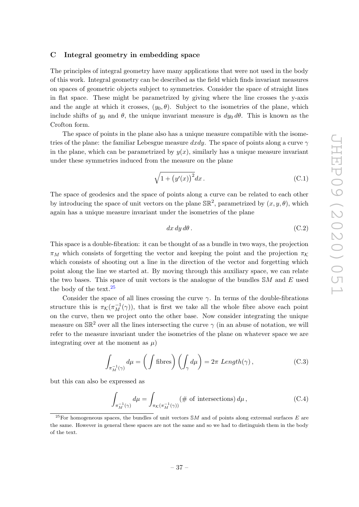## <span id="page-37-0"></span>C Integral geometry in embedding space

The principles of integral geometry have many applications that were not used in the body of this work. Integral geometry can be described as the field which finds invariant measures on spaces of geometric objects subject to symmetries. Consider the space of straight lines in flat space. These might be parametrized by giving where the line crosses the y-axis and the angle at which it crosses,  $(y_0, \theta)$ . Subject to the isometries of the plane, which include shifts of  $y_0$  and  $\theta$ , the unique invariant measure is  $dy_0 d\theta$ . This is known as the Crofton form.

The space of points in the plane also has a unique measure compatible with the isometries of the plane: the familiar Lebesgue measure dxdy. The space of points along a curve  $\gamma$ in the plane, which can be parametrized by  $y(x)$ , similarly has a unique measure invariant under these symmetries induced from the measure on the plane

$$
\sqrt{1 + \left(y'(x)\right)^2} dx \, . \tag{C.1}
$$

The space of geodesics and the space of points along a curve can be related to each other by introducing the space of unit vectors on the plane  $\mathbb{SR}^2$ , parametrized by  $(x, y, \theta)$ , which again has a unique measure invariant under the isometries of the plane

$$
dx dy d\theta. \tag{C.2}
$$

This space is a double-fibration: it can be thought of as a bundle in two ways, the projection  $\pi_M$  which consists of forgetting the vector and keeping the point and the projection  $\pi_K$ which consists of shooting out a line in the direction of the vector and forgetting which point along the line we started at. By moving through this auxiliary space, we can relate the two bases. This space of unit vectors is the analogue of the bundles  $SM$  and E used the body of the text. $25$ 

Consider the space of all lines crossing the curve  $\gamma$ . In terms of the double-fibrations structure this is  $\pi_{\mathcal{K}}(\pi_M^{-1}(\gamma))$ , that is first we take all the whole fibre above each point on the curve, then we project onto the other base. Now consider integrating the unique measure on  $\mathbb{SR}^2$  over all the lines intersecting the curve  $\gamma$  (in an abuse of notation, we will refer to the measure invariant under the isometries of the plane on whatever space we are integrating over at the moment as  $\mu$ )

$$
\int_{\pi_M^{-1}(\gamma)} d\mu = \left(\int \text{fibres}\right) \left(\int_\gamma d\mu\right) = 2\pi \text{ Length}(\gamma),\tag{C.3}
$$

but this can also be expressed as

$$
\int_{\pi_M^{-1}(\gamma)} d\mu = \int_{\pi_K(\pi_M^{-1}(\gamma))} (\# \text{ of intersections}) d\mu,
$$
 (C.4)

<span id="page-37-1"></span><sup>&</sup>lt;sup>25</sup>For homogeneous spaces, the bundles of unit vectors SM and of points along extremal surfaces E are the same. However in general these spaces are not the same and so we had to distinguish them in the body of the text.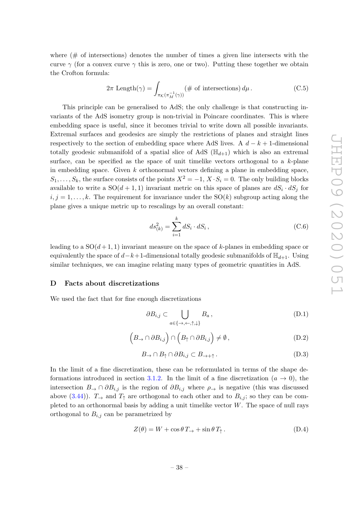where  $(\# \nightharpoonup$  of intersections) denotes the number of times a given line intersects with the curve  $\gamma$  (for a convex curve  $\gamma$  this is zero, one or two). Putting these together we obtain the Crofton formula:

$$
2\pi \operatorname{Length}(\gamma) = \int_{\pi_{\mathcal{K}}(\pi_M^{-1}(\gamma))} (\# \text{ of intersections}) d\mu.
$$
 (C.5)

This principle can be generalised to AdS; the only challenge is that constructing invariants of the AdS isometry group is non-trivial in Poincare coordinates. This is where embedding space is useful, since it becomes trivial to write down all possible invariants. Extremal surfaces and geodesics are simply the restrictions of planes and straight lines respectively to the section of embedding space where AdS lives. A  $d - k + 1$ -dimensional totally geodesic submanifold of a spatial slice of AdS  $(\mathbb{H}_{d+1})$  which is also an extremal surface, can be specified as the space of unit timelike vectors orthogonal to a  $k$ -plane in embedding space. Given  $k$  orthonormal vectors defining a plane in embedding space,  $S_1, \ldots, S_k$ , the surface consists of the points  $X^2 = -1$ ,  $X \cdot S_i = 0$ . The only building blocks available to write a  $SO(d+1,1)$  invariant metric on this space of planes are  $dS_i \cdot dS_j$  for  $i, j = 1, \ldots, k$ . The requirement for invariance under the SO(k) subgroup acting along the plane gives a unique metric up to rescalings by an overall constant:

$$
ds_{(k)}^2 = \sum_{i=1}^k dS_i \cdot dS_i, \qquad (C.6)
$$

leading to a  $SO(d+1,1)$  invariant measure on the space of k-planes in embedding space or equivalently the space of  $d-k+1$ -dimensional totally geodesic submanifolds of  $\mathbb{H}_{d+1}$ . Using similar techniques, we can imagine relating many types of geometric quantities in AdS.

#### <span id="page-38-0"></span>D Facts about discretizations

We used the fact that for fine enough discretizations

<span id="page-38-3"></span><span id="page-38-2"></span><span id="page-38-1"></span>
$$
\partial B_{i,j} \subset \bigcup_{a \in \{\rightarrow, \leftarrow, \uparrow, \downarrow\}} B_a, \tag{D.1}
$$

$$
(B_{\to} \cap \partial B_{i,j}) \cap (B_{\uparrow} \cap \partial B_{i,j}) \neq \emptyset, \qquad (D.2)
$$

$$
B_{\to} \cap B_{\uparrow} \cap \partial B_{i,j} \subset B_{\to +\uparrow}.
$$
 (D.3)

In the limit of a fine discretization, these can be reformulated in terms of the shape de-formations introduced in section [3.1.2.](#page-23-0) In the limit of a fine discretization  $(a \to 0)$ , the intersection  $B_{\rightarrow} \cap \partial B_{i,j}$  is the region of  $\partial B_{i,j}$  where  $\rho_{\rightarrow}$  is negative (this was discussed above [\(3.44\)](#page-24-2)).  $T_{\rightarrow}$  and  $T_{\uparrow}$  are orthogonal to each other and to  $B_{i,j}$ ; so they can be completed to an orthonormal basis by adding a unit timelike vector  $W$ . The space of null rays orthogonal to  $B_{i,j}$  can be parametrized by

$$
Z(\theta) = W + \cos \theta \, T_{\to} + \sin \theta \, T_{\uparrow} \,. \tag{D.4}
$$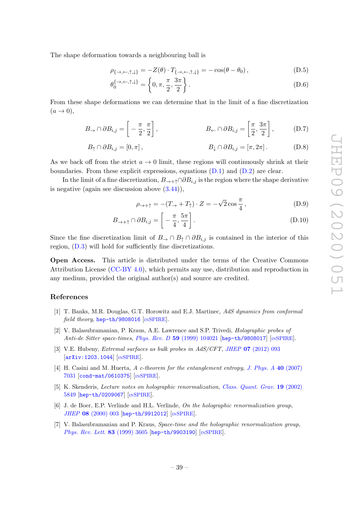The shape deformation towards a neighbouring ball is

$$
\rho_{\{\rightarrow,\leftarrow,\uparrow,\downarrow\}} = -Z(\theta) \cdot T_{\{\rightarrow,\leftarrow,\uparrow,\downarrow\}} = -\cos(\theta - \theta_0),\tag{D.5}
$$

$$
\theta_0^{\{\rightarrow, \leftarrow, \uparrow, \downarrow\}} = \left\{0, \pi, \frac{\pi}{2}, \frac{3\pi}{2}\right\}.
$$
\n(D.6)

From these shape deformations we can determine that in the limit of a fine discretization  $(a \rightarrow 0),$ 

$$
B_{\rightarrow} \cap \partial B_{i,j} = \left[ -\frac{\pi}{2}, \frac{\pi}{2} \right], \qquad B_{\leftarrow} \cap \partial B_{i,j} = \left[ \frac{\pi}{2}, \frac{3\pi}{2} \right], \qquad (D.7)
$$

$$
B_{\uparrow} \cap \partial B_{i,j} = [0, \pi], \qquad B_{\downarrow} \cap \partial B_{i,j} = [\pi, 2\pi]. \qquad (D.8)
$$

As we back off from the strict  $a \to 0$  limit, these regions will continuously shrink at their boundaries. From these explicit expressions, equations  $(D.1)$  and  $(D.2)$  are clear.

In the limit of a fine discretization,  $B_{\to +\uparrow} \cap \partial B_{i,j}$  is the region where the shape derivative is negative (again see discussion above  $(3.44)$ ),

$$
\rho_{\to +\uparrow} = -(T_{\to} + T_{\uparrow}) \cdot Z = -\sqrt{2} \cos \frac{\pi}{4}, \qquad (D.9)
$$

$$
B_{\to +\uparrow} \cap \partial B_{i,j} = \left[ -\frac{\pi}{4}, \frac{5\pi}{4} \right].
$$
 (D.10)

Since the fine discretization limit of  $B_{\to} \cap B_{\uparrow} \cap \partial B_{i,j}$  is contained in the interior of this region, [\(D.3\)](#page-38-3) will hold for sufficiently fine discretizations.

Open Access. This article is distributed under the terms of the Creative Commons Attribution License [\(CC-BY 4.0\)](https://creativecommons.org/licenses/by/4.0/), which permits any use, distribution and reproduction in any medium, provided the original author(s) and source are credited.

## References

- <span id="page-39-0"></span>[1] T. Banks, M.R. Douglas, G.T. Horowitz and E.J. Martinec, AdS dynamics from conformal field theory, [hep-th/9808016](https://arxiv.org/abs/hep-th/9808016) [IN[SPIRE](https://inspirehep.net/search?p=find+EPRINT%2Bhep-th%2F9808016)].
- [2] V. Balasubramanian, P. Kraus, A.E. Lawrence and S.P. Trivedi, Holographic probes of Anti-de Sitter space-times, Phys. Rev. D 59 [\(1999\) 104021](https://doi.org/10.1103/PhysRevD.59.104021) [[hep-th/9808017](https://arxiv.org/abs/hep-th/9808017)] [IN[SPIRE](https://inspirehep.net/search?p=find+EPRINT%2Bhep-th%2F9808017)].
- [3] V.E. Hubeny, Extremal surfaces as bulk probes in AdS/CFT, JHEP 07 [\(2012\) 093](https://doi.org/10.1007/JHEP07(2012)093) [[arXiv:1203.1044](https://arxiv.org/abs/1203.1044)] [IN[SPIRE](https://inspirehep.net/search?p=find+EPRINT%2BarXiv%3A1203.1044)].
- <span id="page-39-1"></span>[4] H. Casini and M. Huerta, A c-theorem for the entanglement entropy, [J. Phys. A](https://doi.org/10.1088/1751-8113/40/25/S57) 40 (2007) [7031](https://doi.org/10.1088/1751-8113/40/25/S57) [[cond-mat/0610375](https://arxiv.org/abs/cond-mat/0610375)] [IN[SPIRE](https://inspirehep.net/search?p=find+EPRINT%2Bcond-mat%2F0610375)].
- <span id="page-39-2"></span>[5] K. Skenderis, Lecture notes on holographic renormalization, [Class. Quant. Grav.](https://doi.org/10.1088/0264-9381/19/22/306) 19 (2002) [5849](https://doi.org/10.1088/0264-9381/19/22/306) [[hep-th/0209067](https://arxiv.org/abs/hep-th/0209067)] [IN[SPIRE](https://inspirehep.net/search?p=find+EPRINT%2Bhep-th%2F0209067)].
- [6] J. de Boer, E.P. Verlinde and H.L. Verlinde, On the holographic renormalization group, JHEP 08 [\(2000\) 003](https://doi.org/10.1088/1126-6708/2000/08/003) [[hep-th/9912012](https://arxiv.org/abs/hep-th/9912012)] [IN[SPIRE](https://inspirehep.net/search?p=find+EPRINT%2Bhep-th%2F9912012)].
- [7] V. Balasubramanian and P. Kraus, Space-time and the holographic renormalization group, [Phys. Rev. Lett.](https://doi.org/10.1103/PhysRevLett.83.3605) 83 (1999) 3605 [[hep-th/9903190](https://arxiv.org/abs/hep-th/9903190)] [IN[SPIRE](https://inspirehep.net/search?p=find+EPRINT%2Bhep-th%2F9903190)].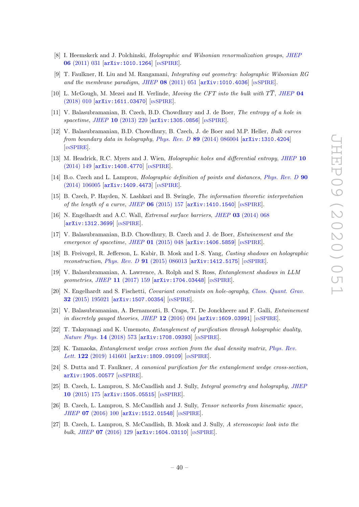- [8] I. Heemskerk and J. Polchinski, *Holographic and Wilsonian renormalization groups*, *[JHEP](https://doi.org/10.1007/JHEP06(2011)031)* 06 [\(2011\) 031](https://doi.org/10.1007/JHEP06(2011)031) [[arXiv:1010.1264](https://arxiv.org/abs/1010.1264)] [IN[SPIRE](https://inspirehep.net/search?p=find+EPRINT%2BarXiv%3A1010.1264)].
- <span id="page-40-0"></span>[9] T. Faulkner, H. Liu and M. Rangamani, Integrating out geometry: holographic Wilsonian RG and the membrane paradigm, JHEP  $\overline{08}$  [\(2011\) 051](https://doi.org/10.1007/JHEP08(2011)051) [[arXiv:1010.4036](https://arxiv.org/abs/1010.4036)] [IN[SPIRE](https://inspirehep.net/search?p=find+EPRINT%2BarXiv%3A1010.4036)].
- <span id="page-40-1"></span>[10] L. McGough, M. Mezei and H. Verlinde, *Moving the CFT into the bulk with*  $T\overline{T}$ , *[JHEP](https://doi.org/10.1007/JHEP04(2018)010)* 04 [\(2018\) 010](https://doi.org/10.1007/JHEP04(2018)010) [[arXiv:1611.03470](https://arxiv.org/abs/1611.03470)] [IN[SPIRE](https://inspirehep.net/search?p=find+EPRINT%2BarXiv%3A1611.03470)].
- <span id="page-40-2"></span>[11] V. Balasubramanian, B. Czech, B.D. Chowdhury and J. de Boer, The entropy of a hole in spacetime, JHEP 10 [\(2013\) 220](https://doi.org/10.1007/JHEP10(2013)220) [[arXiv:1305.0856](https://arxiv.org/abs/1305.0856)] [IN[SPIRE](https://inspirehep.net/search?p=find+EPRINT%2BarXiv%3A1305.0856)].
- <span id="page-40-12"></span>[12] V. Balasubramanian, B.D. Chowdhury, B. Czech, J. de Boer and M.P. Heller, Bulk curves from boundary data in holography, Phys. Rev.  $D$  89 [\(2014\) 086004](https://doi.org/10.1103/PhysRevD.89.086004) [[arXiv:1310.4204](https://arxiv.org/abs/1310.4204)] [IN[SPIRE](https://inspirehep.net/search?p=find+EPRINT%2BarXiv%3A1310.4204)].
- <span id="page-40-14"></span>[13] M. Headrick, R.C. Myers and J. Wien, *Holographic holes and differential entropy*, *[JHEP](https://doi.org/10.1007/JHEP10(2014)149)* 10 [\(2014\) 149](https://doi.org/10.1007/JHEP10(2014)149) [[arXiv:1408.4770](https://arxiv.org/abs/1408.4770)] [IN[SPIRE](https://inspirehep.net/search?p=find+EPRINT%2BarXiv%3A1408.4770)].
- <span id="page-40-3"></span>[14] B.o. Czech and L. Lamprou, *Holographic definition of points and distances, [Phys. Rev. D](https://doi.org/10.1103/PhysRevD.90.106005)* 90  $(2014)$  106005  $\text{arXiv:1409.4473}$  $\text{arXiv:1409.4473}$  $\text{arXiv:1409.4473}$  [IN[SPIRE](https://inspirehep.net/search?p=find+EPRINT%2BarXiv%3A1409.4473)].
- <span id="page-40-4"></span>[15] B. Czech, P. Hayden, N. Lashkari and B. Swingle, The information theoretic interpretation of the length of a curve, JHEP  $06$  [\(2015\) 157](https://doi.org/10.1007/JHEP06(2015)157)  $\text{arXiv:1410.1540}$  $\text{arXiv:1410.1540}$  $\text{arXiv:1410.1540}$  [IN[SPIRE](https://inspirehep.net/search?p=find+EPRINT%2BarXiv%3A1410.1540)].
- <span id="page-40-5"></span>[16] N. Engelhardt and A.C. Wall, *Extremal surface barriers*, *JHEP* 03 [\(2014\) 068](https://doi.org/10.1007/JHEP03(2014)068) [[arXiv:1312.3699](https://arxiv.org/abs/1312.3699)] [IN[SPIRE](https://inspirehep.net/search?p=find+EPRINT%2BarXiv%3A1312.3699)].
- <span id="page-40-7"></span>[17] V. Balasubramanian, B.D. Chowdhury, B. Czech and J. de Boer, Entwinement and the emergence of spacetime, JHEP  $01$  [\(2015\) 048](https://doi.org/10.1007/JHEP01(2015)048)  $\left[$ [arXiv:1406.5859](https://arxiv.org/abs/1406.5859) $\right]$   $\left[$ IN[SPIRE](https://inspirehep.net/search?p=find+EPRINT%2BarXiv%3A1406.5859) $\right]$ .
- [18] B. Freivogel, R. Jefferson, L. Kabir, B. Mosk and I.-S. Yang, Casting shadows on holographic reconstruction, *Phys. Rev. D* **91** [\(2015\) 086013](https://doi.org/10.1103/PhysRevD.91.086013)  $arXiv:1412.5175$  [IN[SPIRE](https://inspirehep.net/search?p=find+EPRINT%2BarXiv%3A1412.5175)].
- [19] V. Balasubramanian, A. Lawrence, A. Rolph and S. Ross, Entanglement shadows in LLM geometries, JHEP 11 [\(2017\) 159](https://doi.org/10.1007/JHEP11(2017)159) [[arXiv:1704.03448](https://arxiv.org/abs/1704.03448)] [IN[SPIRE](https://inspirehep.net/search?p=find+EPRINT%2BarXiv%3A1704.03448)].
- <span id="page-40-6"></span>[20] N. Engelhardt and S. Fischetti, Covariant constraints on hole-ography, [Class. Quant. Grav.](https://doi.org/10.1088/0264-9381/32/19/195021) 32 [\(2015\) 195021](https://doi.org/10.1088/0264-9381/32/19/195021) [[arXiv:1507.00354](https://arxiv.org/abs/1507.00354)] [IN[SPIRE](https://inspirehep.net/search?p=find+EPRINT%2BarXiv%3A1507.00354)].
- <span id="page-40-8"></span>[21] V. Balasubramanian, A. Bernamonti, B. Craps, T. De Jonckheere and F. Galli, Entwinement in discretely gauged theories, JHEP  $12$  [\(2016\) 094](https://doi.org/10.1007/JHEP12(2016)094)  $\text{arXiv:1609.03991}$  $\text{arXiv:1609.03991}$  $\text{arXiv:1609.03991}$  [IN[SPIRE](https://inspirehep.net/search?p=find+EPRINT%2BarXiv%3A1609.03991)].
- <span id="page-40-9"></span>[22] T. Takayanagi and K. Umemoto, Entanglement of purification through holographic duality, [Nature Phys.](https://doi.org/10.1038/s41567-018-0075-2) 14 (2018) 573 [[arXiv:1708.09393](https://arxiv.org/abs/1708.09393)] [IN[SPIRE](https://inspirehep.net/search?p=find+EPRINT%2BarXiv%3A1708.09393)].
- [23] K. Tamaoka, Entanglement wedge cross section from the dual density matrix, [Phys. Rev.](https://doi.org/10.1103/PhysRevLett.122.141601) Lett. 122 [\(2019\) 141601](https://doi.org/10.1103/PhysRevLett.122.141601) [[arXiv:1809.09109](https://arxiv.org/abs/1809.09109)] [IN[SPIRE](https://inspirehep.net/search?p=find+EPRINT%2BarXiv%3A1809.09109)].
- <span id="page-40-10"></span>[24] S. Dutta and T. Faulkner, A canonical purification for the entanglement wedge cross-section, [arXiv:1905.00577](https://arxiv.org/abs/1905.00577) [IN[SPIRE](https://inspirehep.net/search?p=find+EPRINT%2BarXiv%3A1905.00577)].
- <span id="page-40-11"></span>[25] B. Czech, L. Lamprou, S. McCandlish and J. Sully, *Integral geometry and holography, [JHEP](https://doi.org/10.1007/JHEP10(2015)175)* 10 [\(2015\) 175](https://doi.org/10.1007/JHEP10(2015)175) [[arXiv:1505.05515](https://arxiv.org/abs/1505.05515)] [IN[SPIRE](https://inspirehep.net/search?p=find+EPRINT%2BarXiv%3A1505.05515)].
- [26] B. Czech, L. Lamprou, S. McCandlish and J. Sully, Tensor networks from kinematic space, JHEP 07 [\(2016\) 100](https://doi.org/10.1007/JHEP07(2016)100) [[arXiv:1512.01548](https://arxiv.org/abs/1512.01548)] [IN[SPIRE](https://inspirehep.net/search?p=find+EPRINT%2BarXiv%3A1512.01548)].
- <span id="page-40-13"></span>[27] B. Czech, L. Lamprou, S. McCandlish, B. Mosk and J. Sully, A stereoscopic look into the bulk, JHEP  $07$  [\(2016\) 129](https://doi.org/10.1007/JHEP07(2016)129)  $\text{arXiv:1604.03110}$  $\text{arXiv:1604.03110}$  $\text{arXiv:1604.03110}$   $\text{InSPIRE}$  $\text{InSPIRE}$  $\text{InSPIRE}$ .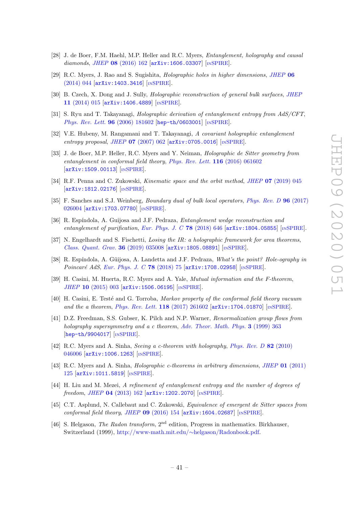- <span id="page-41-0"></span>[28] J. de Boer, F.M. Haehl, M.P. Heller and R.C. Myers, Entanglement, holography and causal diamonds, JHEP 08 [\(2016\) 162](https://doi.org/10.1007/JHEP08(2016)162) [[arXiv:1606.03307](https://arxiv.org/abs/1606.03307)] [IN[SPIRE](https://inspirehep.net/search?p=find+EPRINT%2BarXiv%3A1606.03307)].
- <span id="page-41-1"></span>[29] R.C. Myers, J. Rao and S. Sugishita, Holographic holes in higher dimensions, [JHEP](https://doi.org/10.1007/JHEP06(2014)044) 06 [\(2014\) 044](https://doi.org/10.1007/JHEP06(2014)044) [[arXiv:1403.3416](https://arxiv.org/abs/1403.3416)] [IN[SPIRE](https://inspirehep.net/search?p=find+EPRINT%2BarXiv%3A1403.3416)].
- <span id="page-41-2"></span>[30] B. Czech, X. Dong and J. Sully, *Holographic reconstruction of general bulk surfaces, [JHEP](https://doi.org/10.1007/JHEP11(2014)015)* 11 [\(2014\) 015](https://doi.org/10.1007/JHEP11(2014)015) [[arXiv:1406.4889](https://arxiv.org/abs/1406.4889)] [IN[SPIRE](https://inspirehep.net/search?p=find+EPRINT%2BarXiv%3A1406.4889)].
- <span id="page-41-3"></span>[31] S. Ryu and T. Takayanagi, Holographic derivation of entanglement entropy from AdS/CFT, [Phys. Rev. Lett.](https://doi.org/10.1103/PhysRevLett.96.181602) 96 (2006) 181602 [[hep-th/0603001](https://arxiv.org/abs/hep-th/0603001)] [IN[SPIRE](https://inspirehep.net/search?p=find+EPRINT%2Bhep-th%2F0603001)].
- <span id="page-41-4"></span>[32] V.E. Hubeny, M. Rangamani and T. Takayanagi, A covariant holographic entanglement entropy proposal, JHEP  $07$  [\(2007\) 062](https://doi.org/10.1088/1126-6708/2007/07/062)  $\ar{xiv:0705.0016}$  [IN[SPIRE](https://inspirehep.net/search?p=find+EPRINT%2BarXiv%3A0705.0016)].
- <span id="page-41-5"></span>[33] J. de Boer, M.P. Heller, R.C. Myers and Y. Neiman, Holographic de Sitter geometry from entanglement in conformal field theory, [Phys. Rev. Lett.](https://doi.org/10.1103/PhysRevLett.116.061602) 116 (2016) 061602 [[arXiv:1509.00113](https://arxiv.org/abs/1509.00113)] [IN[SPIRE](https://inspirehep.net/search?p=find+EPRINT%2BarXiv%3A1509.00113)].
- <span id="page-41-6"></span>[34] R.F. Penna and C. Zukowski, Kinematic space and the orbit method, JHEP 07 [\(2019\) 045](https://doi.org/10.1007/JHEP07(2019)045) [[arXiv:1812.02176](https://arxiv.org/abs/1812.02176)] [IN[SPIRE](https://inspirehep.net/search?p=find+EPRINT%2BarXiv%3A1812.02176)].
- <span id="page-41-7"></span>[35] F. Sanches and S.J. Weinberg, Boundary dual of bulk local operators, [Phys. Rev. D](https://doi.org/10.1103/PhysRevD.96.026004) 96 (2017) [026004](https://doi.org/10.1103/PhysRevD.96.026004) [[arXiv:1703.07780](https://arxiv.org/abs/1703.07780)] [IN[SPIRE](https://inspirehep.net/search?p=find+EPRINT%2BarXiv%3A1703.07780)].
- <span id="page-41-8"></span>[36] R. Espíndola, A. Guijosa and J.F. Pedraza, *Entanglement wedge reconstruction and* entanglement of purification, [Eur. Phys. J. C](https://doi.org/10.1140/epjc/s10052-018-6140-2) 78 (2018) 646 [[arXiv:1804.05855](https://arxiv.org/abs/1804.05855)] [IN[SPIRE](https://inspirehep.net/search?p=find+EPRINT%2BarXiv%3A1804.05855)].
- <span id="page-41-9"></span>[37] N. Engelhardt and S. Fischetti, Losing the IR: a holographic framework for area theorems, [Class. Quant. Grav.](https://doi.org/10.1088/1361-6382/aafa0b) 36 (2019) 035008 [[arXiv:1805.08891](https://arxiv.org/abs/1805.08891)] [IN[SPIRE](https://inspirehep.net/search?p=find+EPRINT%2BarXiv%3A1805.08891)].
- <span id="page-41-10"></span>[38] R. Espíndola, A. Güijosa, A. Landetta and J.F. Pedraza, What's the point? Hole-ography in Poincaré AdS, [Eur. Phys. J. C](https://doi.org/10.1140/epjc/s10052-018-5563-0)  $78$  (2018) 75  $\text{arXiv:1708.02958}$  $\text{arXiv:1708.02958}$  $\text{arXiv:1708.02958}$  [IN[SPIRE](https://inspirehep.net/search?p=find+EPRINT%2BarXiv%3A1708.02958)].
- <span id="page-41-11"></span>[39] H. Casini, M. Huerta, R.C. Myers and A. Yale, Mutual information and the F-theorem, JHEP 10 [\(2015\) 003](https://doi.org/10.1007/JHEP10(2015)003) [[arXiv:1506.06195](https://arxiv.org/abs/1506.06195)] [IN[SPIRE](https://inspirehep.net/search?p=find+EPRINT%2BarXiv%3A1506.06195)].
- <span id="page-41-12"></span>[40] H. Casini, E. Testé and G. Torroba, Markov property of the conformal field theory vacuum and the a theorem, [Phys. Rev. Lett.](https://doi.org/10.1103/PhysRevLett.118.261602) 118 (2017) 261602 [[arXiv:1704.01870](https://arxiv.org/abs/1704.01870)] [IN[SPIRE](https://inspirehep.net/search?p=find+EPRINT%2BarXiv%3A1704.01870)].
- <span id="page-41-13"></span>[41] D.Z. Freedman, S.S. Gubser, K. Pilch and N.P. Warner, Renormalization group flows from holography supersymmetry and a c theorem, [Adv. Theor. Math. Phys.](https://doi.org/10.4310/ATMP.1999.v3.n2.a7) 3 (1999) 363 [[hep-th/9904017](https://arxiv.org/abs/hep-th/9904017)] [IN[SPIRE](https://inspirehep.net/search?p=find+EPRINT%2Bhep-th%2F9904017)].
- [42] R.C. Myers and A. Sinha, Seeing a c-theorem with holography, [Phys. Rev. D](https://doi.org/10.1103/PhysRevD.82.046006) 82 (2010) [046006](https://doi.org/10.1103/PhysRevD.82.046006) [[arXiv:1006.1263](https://arxiv.org/abs/1006.1263)] [IN[SPIRE](https://inspirehep.net/search?p=find+EPRINT%2BarXiv%3A1006.1263)].
- <span id="page-41-14"></span>[43] R.C. Myers and A. Sinha, *Holographic c-theorems in arbitrary dimensions*, *JHEP* 01 [\(2011\)](https://doi.org/10.1007/JHEP01(2011)125) [125](https://doi.org/10.1007/JHEP01(2011)125) [[arXiv:1011.5819](https://arxiv.org/abs/1011.5819)] [IN[SPIRE](https://inspirehep.net/search?p=find+EPRINT%2BarXiv%3A1011.5819)].
- <span id="page-41-15"></span>[44] H. Liu and M. Mezei, A refinement of entanglement entropy and the number of degrees of freedom, JHEP 04 [\(2013\) 162](https://doi.org/10.1007/JHEP04(2013)162) [[arXiv:1202.2070](https://arxiv.org/abs/1202.2070)] [IN[SPIRE](https://inspirehep.net/search?p=find+EPRINT%2BarXiv%3A1202.2070)].
- <span id="page-41-16"></span>[45] C.T. Asplund, N. Callebaut and C. Zukowski, Equivalence of emergent de Sitter spaces from conformal field theory, JHEP  $09$  [\(2016\) 154](https://doi.org/10.1007/JHEP09(2016)154)  $\text{arXiv:1604.02687}$  $\text{arXiv:1604.02687}$  $\text{arXiv:1604.02687}$  [IN[SPIRE](https://inspirehep.net/search?p=find+EPRINT%2BarXiv%3A1604.02687)].
- <span id="page-41-17"></span>[46] S. Helgason, The Radon transform, 2nd edition, Progress in mathematics. Birkhauser, Switzerland (1999), [http://www-math.mit.edu/](http://www-math.mit.edu/~helgason/Radonbook.pdf)∼helgason/Radonbook.pdf.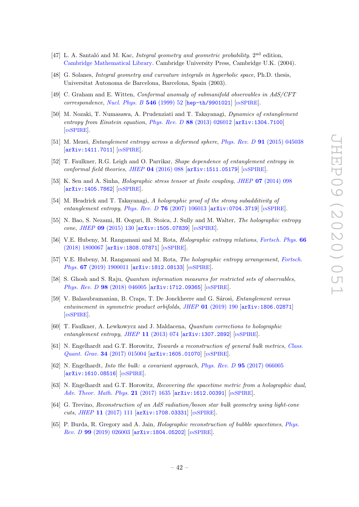- [47] L. A. Santaló and M. Kac, *Integral geometry and geometric probability*.  $2<sup>nd</sup>$  edition, [Cambridge Mathematical Library.](http://dx.doi.org/10.1017/CBO9780511617331) Cambridge University Press, Cambridge U.K. (2004).
- <span id="page-42-0"></span>[48] G. Solanes, *Integral geometry and curvature integrals in hyperbolic space*, Ph.D. thesis, Universitat Autonoma de Barcelona, Barcelona, Spain (2003).
- <span id="page-42-1"></span>[49] C. Graham and E. Witten, Conformal anomaly of submanifold observables in AdS/CFT correspondence, [Nucl. Phys. B](https://doi.org/10.1016/S0550-3213(99)00055-3)  $546$  (1999) 52 [[hep-th/9901021](https://arxiv.org/abs/hep-th/9901021)] [IN[SPIRE](https://inspirehep.net/search?p=find+EPRINT%2Bhep-th%2F9901021)].
- <span id="page-42-2"></span>[50] M. Nozaki, T. Numasawa, A. Prudenziati and T. Takayanagi, Dynamics of entanglement entropy from Einstein equation, Phys. Rev. D 88 [\(2013\) 026012](https://doi.org/10.1103/PhysRevD.88.026012) [[arXiv:1304.7100](https://arxiv.org/abs/1304.7100)] [IN[SPIRE](https://inspirehep.net/search?p=find+EPRINT%2BarXiv%3A1304.7100)].
- <span id="page-42-5"></span>[51] M. Mezei, Entanglement entropy across a deformed sphere, Phys. Rev. D 91 [\(2015\) 045038](https://doi.org/10.1103/PhysRevD.91.045038) [[arXiv:1411.7011](https://arxiv.org/abs/1411.7011)] [IN[SPIRE](https://inspirehep.net/search?p=find+EPRINT%2BarXiv%3A1411.7011)].
- <span id="page-42-3"></span>[52] T. Faulkner, R.G. Leigh and O. Parrikar, Shape dependence of entanglement entropy in conformal field theories, JHEP  $04$  [\(2016\) 088](https://doi.org/10.1007/JHEP04(2016)088)  $\text{arXiv:1511.05179}$  $\text{arXiv:1511.05179}$  $\text{arXiv:1511.05179}$  [IN[SPIRE](https://inspirehep.net/search?p=find+EPRINT%2BarXiv%3A1511.05179)].
- <span id="page-42-4"></span>[53] K. Sen and A. Sinha, *Holographic stress tensor at finite coupling, JHEP* 07 [\(2014\) 098](https://doi.org/10.1007/JHEP07(2014)098) [[arXiv:1405.7862](https://arxiv.org/abs/1405.7862)] [IN[SPIRE](https://inspirehep.net/search?p=find+EPRINT%2BarXiv%3A1405.7862)].
- <span id="page-42-6"></span>[54] M. Headrick and T. Takayanagi, A holographic proof of the strong subadditivity of entanglement entropy, Phys. Rev. D 76 [\(2007\) 106013](https://doi.org/10.1103/PhysRevD.76.106013)  $\ar{xiv:}$  0704.3719  $\ln \text{SPIRE}$  $\ln \text{SPIRE}$  $\ln \text{SPIRE}$ .
- <span id="page-42-7"></span>[55] N. Bao, S. Nezami, H. Ooguri, B. Stoica, J. Sully and M. Walter, The holographic entropy cone, JHEP 09 [\(2015\) 130](https://doi.org/10.1007/JHEP09(2015)130) [[arXiv:1505.07839](https://arxiv.org/abs/1505.07839)] [IN[SPIRE](https://inspirehep.net/search?p=find+EPRINT%2BarXiv%3A1505.07839)].
- [56] V.E. Hubeny, M. Rangamani and M. Rota, Holographic entropy relations, [Fortsch. Phys.](https://doi.org/10.1002/prop.201800067) 66 [\(2018\) 1800067](https://doi.org/10.1002/prop.201800067) [[arXiv:1808.07871](https://arxiv.org/abs/1808.07871)] [IN[SPIRE](https://inspirehep.net/search?p=find+EPRINT%2BarXiv%3A1808.07871)].
- <span id="page-42-8"></span>[57] V.E. Hubeny, M. Rangamani and M. Rota, The holographic entropy arrangement, [Fortsch.](https://doi.org/10.1002/prop.201900011) Phys. 67 [\(2019\) 1900011](https://doi.org/10.1002/prop.201900011) [[arXiv:1812.08133](https://arxiv.org/abs/1812.08133)] [IN[SPIRE](https://inspirehep.net/search?p=find+EPRINT%2BarXiv%3A1812.08133)].
- <span id="page-42-9"></span>[58] S. Ghosh and S. Raju, *Quantum information measures for restricted sets of observables*, Phys. Rev. D 98 [\(2018\) 046005](https://doi.org/10.1103/PhysRevD.98.046005) [[arXiv:1712.09365](https://arxiv.org/abs/1712.09365)] [IN[SPIRE](https://inspirehep.net/search?p=find+EPRINT%2BarXiv%3A1712.09365)].
- <span id="page-42-10"></span>[59] V. Balasubramanian, B. Craps, T. De Jonckheere and G. Sárosi, *Entanglement versus* entwinement in symmetric product orbifolds, JHEP  $01$  [\(2019\) 190](https://doi.org/10.1007/JHEP01(2019)190)  $\left[$ [arXiv:1806.02871](https://arxiv.org/abs/1806.02871) $\right]$ [IN[SPIRE](https://inspirehep.net/search?p=find+EPRINT%2BarXiv%3A1806.02871)].
- <span id="page-42-11"></span>[60] T. Faulkner, A. Lewkowycz and J. Maldacena, Quantum corrections to holographic entanglement entropy, JHEP 11 [\(2013\) 074](https://doi.org/10.1007/JHEP11(2013)074)  $\left[$ [arXiv:1307.2892](https://arxiv.org/abs/1307.2892) $\right]$   $\left[$ IN[SPIRE](https://inspirehep.net/search?p=find+EPRINT%2BarXiv%3A1307.2892) $\right]$ .
- <span id="page-42-12"></span>[61] N. Engelhardt and G.T. Horowitz, Towards a reconstruction of general bulk metrics, [Class.](https://doi.org/10.1088/1361-6382/34/1/015004) Quant. Grav. 34 [\(2017\) 015004](https://doi.org/10.1088/1361-6382/34/1/015004) [[arXiv:1605.01070](https://arxiv.org/abs/1605.01070)] [IN[SPIRE](https://inspirehep.net/search?p=find+EPRINT%2BarXiv%3A1605.01070)].
- [62] N. Engelhardt, Into the bulk: a covariant approach, Phys. Rev. D 95 [\(2017\) 066005](https://doi.org/10.1103/PhysRevD.95.066005) [[arXiv:1610.08516](https://arxiv.org/abs/1610.08516)] [IN[SPIRE](https://inspirehep.net/search?p=find+EPRINT%2BarXiv%3A1610.08516)].
- [63] N. Engelhardt and G.T. Horowitz, Recovering the spacetime metric from a holographic dual, [Adv. Theor. Math. Phys.](https://doi.org/10.4310/ATMP.2017.v21.n7.a2) 21 (2017) 1635 [[arXiv:1612.00391](https://arxiv.org/abs/1612.00391)] [IN[SPIRE](https://inspirehep.net/search?p=find+EPRINT%2BarXiv%3A1612.00391)].
- [64] G. Trevino, Reconstruction of an AdS radiation/boson star bulk geometry using light-cone cuts, JHEP 11 [\(2017\) 111](https://doi.org/10.1007/JHEP11(2017)111) [[arXiv:1708.03331](https://arxiv.org/abs/1708.03331)] [IN[SPIRE](https://inspirehep.net/search?p=find+EPRINT%2BarXiv%3A1708.03331)].
- [65] P. Burda, R. Gregory and A. Jain, Holographic reconstruction of bubble spacetimes, [Phys.](https://doi.org/10.1103/PhysRevD.99.026003) Rev. D 99 [\(2019\) 026003](https://doi.org/10.1103/PhysRevD.99.026003) [[arXiv:1804.05202](https://arxiv.org/abs/1804.05202)] [IN[SPIRE](https://inspirehep.net/search?p=find+EPRINT%2BarXiv%3A1804.05202)].